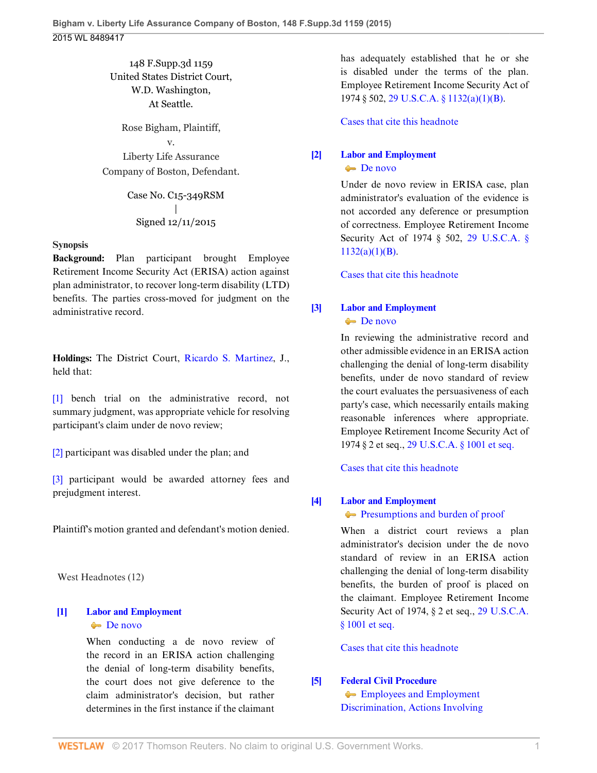# 148 F.Supp.3d 1159 United States District Court, W.D. Washington, At Seattle.

Rose Bigham, Plaintiff, v. Liberty Life Assurance Company of Boston, Defendant.

> Case No. C15-349RSM | Signed 12/11/2015

#### **Synopsis**

**Background:** Plan participant brought Employee Retirement Income Security Act (ERISA) action against plan administrator, to recover long-term disability (LTD) benefits. The parties cross-moved for judgment on the administrative record.

**Holdings:** The District Court, [Ricardo S. Martinez](http://www.westlaw.com/Link/Document/FullText?findType=h&pubNum=176284&cite=0170130101&originatingDoc=I65954630a08e11e5b10893af99153f48&refType=RQ&originationContext=document&vr=3.0&rs=cblt1.0&transitionType=DocumentItem&contextData=(sc.UserEnteredCitation)), J., held that:

[\[1\]](#page-0-0) bench trial on the administrative record, not summary judgment, was appropriate vehicle for resolving participant's claim under de novo review;

[\[2\]](#page-1-0) participant was disabled under the plan; and

[\[3\]](#page-2-0) participant would be awarded attorney fees and prejudgment interest.

Plaintiff's motion granted and defendant's motion denied.

West Headnotes (12)

### <span id="page-0-1"></span>**[\[1\]](#page-2-1) [Labor and Employment](http://www.westlaw.com/Browse/Home/KeyNumber/231H/View.html?docGuid=I65954630a08e11e5b10893af99153f48&originationContext=document&vr=3.0&rs=cblt1.0&transitionType=DocumentItem&contextData=(sc.UserEnteredCitation))** [De novo](http://www.westlaw.com/Browse/Home/KeyNumber/231Hk686/View.html?docGuid=I65954630a08e11e5b10893af99153f48&originationContext=document&vr=3.0&rs=cblt1.0&transitionType=DocumentItem&contextData=(sc.UserEnteredCitation))

When conducting a de novo review of the record in an ERISA action challenging the denial of long-term disability benefits, the court does not give deference to the claim administrator's decision, but rather determines in the first instance if the claimant has adequately established that he or she is disabled under the terms of the plan. Employee Retirement Income Security Act of 1974 § 502, [29 U.S.C.A. § 1132\(a\)\(1\)\(B\)](http://www.westlaw.com/Link/Document/FullText?findType=L&pubNum=1000546&cite=29USCAS1132&originatingDoc=I65954630a08e11e5b10893af99153f48&refType=SP&originationContext=document&vr=3.0&rs=cblt1.0&transitionType=DocumentItem&contextData=(sc.UserEnteredCitation)#co_pp_50660000823d1).

[Cases that cite this headnote](http://www.westlaw.com/Link/RelatedInformation/DocHeadnoteLink?docGuid=I65954630a08e11e5b10893af99153f48&headnoteId=203778352300320160817104501&originationContext=document&vr=3.0&rs=cblt1.0&transitionType=CitingReferences&contextData=(sc.UserEnteredCitation))

# <span id="page-0-2"></span>**[\[2\]](#page-2-2) [Labor and Employment](http://www.westlaw.com/Browse/Home/KeyNumber/231H/View.html?docGuid=I65954630a08e11e5b10893af99153f48&originationContext=document&vr=3.0&rs=cblt1.0&transitionType=DocumentItem&contextData=(sc.UserEnteredCitation))** [De novo](http://www.westlaw.com/Browse/Home/KeyNumber/231Hk686/View.html?docGuid=I65954630a08e11e5b10893af99153f48&originationContext=document&vr=3.0&rs=cblt1.0&transitionType=DocumentItem&contextData=(sc.UserEnteredCitation))

Under de novo review in ERISA case, plan administrator's evaluation of the evidence is not accorded any deference or presumption of correctness. Employee Retirement Income Security Act of 1974 § 502, [29 U.S.C.A. §](http://www.westlaw.com/Link/Document/FullText?findType=L&pubNum=1000546&cite=29USCAS1132&originatingDoc=I65954630a08e11e5b10893af99153f48&refType=SP&originationContext=document&vr=3.0&rs=cblt1.0&transitionType=DocumentItem&contextData=(sc.UserEnteredCitation)#co_pp_50660000823d1) [1132\(a\)\(1\)\(B\)](http://www.westlaw.com/Link/Document/FullText?findType=L&pubNum=1000546&cite=29USCAS1132&originatingDoc=I65954630a08e11e5b10893af99153f48&refType=SP&originationContext=document&vr=3.0&rs=cblt1.0&transitionType=DocumentItem&contextData=(sc.UserEnteredCitation)#co_pp_50660000823d1).

[Cases that cite this headnote](http://www.westlaw.com/Link/RelatedInformation/DocHeadnoteLink?docGuid=I65954630a08e11e5b10893af99153f48&headnoteId=203778352300420160817104501&originationContext=document&vr=3.0&rs=cblt1.0&transitionType=CitingReferences&contextData=(sc.UserEnteredCitation))

# <span id="page-0-3"></span>**[\[3\]](#page-2-3) [Labor and Employment](http://www.westlaw.com/Browse/Home/KeyNumber/231H/View.html?docGuid=I65954630a08e11e5b10893af99153f48&originationContext=document&vr=3.0&rs=cblt1.0&transitionType=DocumentItem&contextData=(sc.UserEnteredCitation))** [De novo](http://www.westlaw.com/Browse/Home/KeyNumber/231Hk686/View.html?docGuid=I65954630a08e11e5b10893af99153f48&originationContext=document&vr=3.0&rs=cblt1.0&transitionType=DocumentItem&contextData=(sc.UserEnteredCitation))

In reviewing the administrative record and other admissible evidence in an ERISA action challenging the denial of long-term disability benefits, under de novo standard of review the court evaluates the persuasiveness of each party's case, which necessarily entails making reasonable inferences where appropriate. Employee Retirement Income Security Act of 1974 § 2 et seq., [29 U.S.C.A. § 1001 et seq.](http://www.westlaw.com/Link/Document/FullText?findType=L&pubNum=1000546&cite=29USCAS1001&originatingDoc=I65954630a08e11e5b10893af99153f48&refType=LQ&originationContext=document&vr=3.0&rs=cblt1.0&transitionType=DocumentItem&contextData=(sc.UserEnteredCitation))

[Cases that cite this headnote](http://www.westlaw.com/Link/RelatedInformation/DocHeadnoteLink?docGuid=I65954630a08e11e5b10893af99153f48&headnoteId=203778352300520160817104501&originationContext=document&vr=3.0&rs=cblt1.0&transitionType=CitingReferences&contextData=(sc.UserEnteredCitation))

# <span id="page-0-4"></span>**[\[4\]](#page-2-4) [Labor and Employment](http://www.westlaw.com/Browse/Home/KeyNumber/231H/View.html?docGuid=I65954630a08e11e5b10893af99153f48&originationContext=document&vr=3.0&rs=cblt1.0&transitionType=DocumentItem&contextData=(sc.UserEnteredCitation))**

[Presumptions and burden of proof](http://www.westlaw.com/Browse/Home/KeyNumber/231Hk694/View.html?docGuid=I65954630a08e11e5b10893af99153f48&originationContext=document&vr=3.0&rs=cblt1.0&transitionType=DocumentItem&contextData=(sc.UserEnteredCitation))

When a district court reviews a plan administrator's decision under the de novo standard of review in an ERISA action challenging the denial of long-term disability benefits, the burden of proof is placed on the claimant. Employee Retirement Income Security Act of 1974, § 2 et seq., [29 U.S.C.A.](http://www.westlaw.com/Link/Document/FullText?findType=L&pubNum=1000546&cite=29USCAS1001&originatingDoc=I65954630a08e11e5b10893af99153f48&refType=LQ&originationContext=document&vr=3.0&rs=cblt1.0&transitionType=DocumentItem&contextData=(sc.UserEnteredCitation)) [§ 1001 et seq.](http://www.westlaw.com/Link/Document/FullText?findType=L&pubNum=1000546&cite=29USCAS1001&originatingDoc=I65954630a08e11e5b10893af99153f48&refType=LQ&originationContext=document&vr=3.0&rs=cblt1.0&transitionType=DocumentItem&contextData=(sc.UserEnteredCitation))

[Cases that cite this headnote](http://www.westlaw.com/Link/RelatedInformation/DocHeadnoteLink?docGuid=I65954630a08e11e5b10893af99153f48&headnoteId=203778352300620160817104501&originationContext=document&vr=3.0&rs=cblt1.0&transitionType=CitingReferences&contextData=(sc.UserEnteredCitation))

# <span id="page-0-0"></span>**[\[5\]](#page-2-5) [Federal Civil Procedure](http://www.westlaw.com/Browse/Home/KeyNumber/170A/View.html?docGuid=I65954630a08e11e5b10893af99153f48&originationContext=document&vr=3.0&rs=cblt1.0&transitionType=DocumentItem&contextData=(sc.UserEnteredCitation))**

**[Employees and Employment](http://www.westlaw.com/Browse/Home/KeyNumber/170Ak2497/View.html?docGuid=I65954630a08e11e5b10893af99153f48&originationContext=document&vr=3.0&rs=cblt1.0&transitionType=DocumentItem&contextData=(sc.UserEnteredCitation))** [Discrimination, Actions Involving](http://www.westlaw.com/Browse/Home/KeyNumber/170Ak2497/View.html?docGuid=I65954630a08e11e5b10893af99153f48&originationContext=document&vr=3.0&rs=cblt1.0&transitionType=DocumentItem&contextData=(sc.UserEnteredCitation))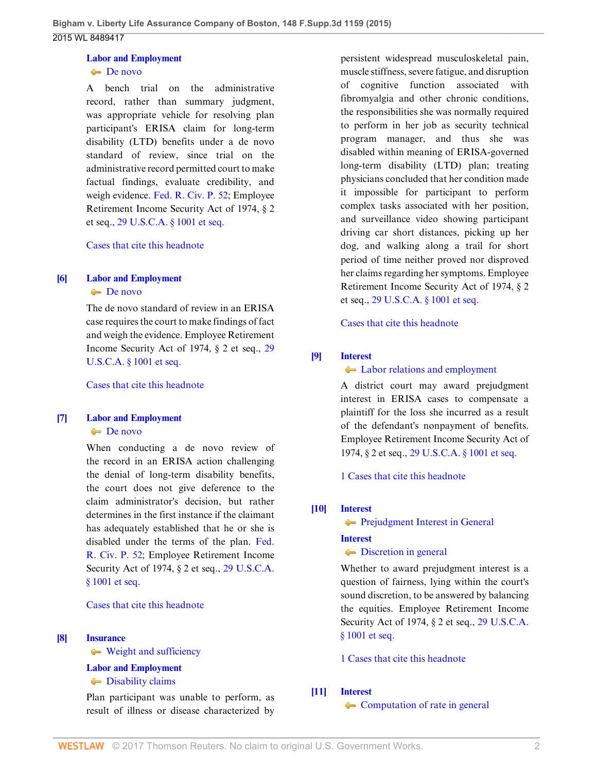# **[Labor and Employment](http://www.westlaw.com/Browse/Home/KeyNumber/231H/View.html?docGuid=I65954630a08e11e5b10893af99153f48&originationContext=document&vr=3.0&rs=cblt1.0&transitionType=DocumentItem&contextData=(sc.UserEnteredCitation))**

**[De novo](http://www.westlaw.com/Browse/Home/KeyNumber/231Hk686/View.html?docGuid=I65954630a08e11e5b10893af99153f48&originationContext=document&vr=3.0&rs=cblt1.0&transitionType=DocumentItem&contextData=(sc.UserEnteredCitation))** 

A bench trial on the administrative record, rather than summary judgment, was appropriate vehicle for resolving plan participant's ERISA claim for long-term disability (LTD) benefits under a de novo standard of review, since trial on the administrative record permitted court to make factual findings, evaluate credibility, and weigh evidence. [Fed. R. Civ. P. 52;](http://www.westlaw.com/Link/Document/FullText?findType=L&pubNum=1000600&cite=USFRCPR52&originatingDoc=I65954630a08e11e5b10893af99153f48&refType=LQ&originationContext=document&vr=3.0&rs=cblt1.0&transitionType=DocumentItem&contextData=(sc.UserEnteredCitation)) Employee Retirement Income Security Act of 1974, § 2 et seq., [29 U.S.C.A. § 1001 et seq.](http://www.westlaw.com/Link/Document/FullText?findType=L&pubNum=1000546&cite=29USCAS1001&originatingDoc=I65954630a08e11e5b10893af99153f48&refType=LQ&originationContext=document&vr=3.0&rs=cblt1.0&transitionType=DocumentItem&contextData=(sc.UserEnteredCitation))

[Cases that cite this headnote](http://www.westlaw.com/Link/RelatedInformation/DocHeadnoteLink?docGuid=I65954630a08e11e5b10893af99153f48&headnoteId=203778352301220160817104501&originationContext=document&vr=3.0&rs=cblt1.0&transitionType=CitingReferences&contextData=(sc.UserEnteredCitation))

# <span id="page-1-1"></span>**[\[6\]](#page-2-6) [Labor and Employment](http://www.westlaw.com/Browse/Home/KeyNumber/231H/View.html?docGuid=I65954630a08e11e5b10893af99153f48&originationContext=document&vr=3.0&rs=cblt1.0&transitionType=DocumentItem&contextData=(sc.UserEnteredCitation))**

#### [De novo](http://www.westlaw.com/Browse/Home/KeyNumber/231Hk686/View.html?docGuid=I65954630a08e11e5b10893af99153f48&originationContext=document&vr=3.0&rs=cblt1.0&transitionType=DocumentItem&contextData=(sc.UserEnteredCitation))

The de novo standard of review in an ERISA case requires the court to make findings of fact and weigh the evidence. Employee Retirement Income Security Act of 1974, § 2 et seq., [29](http://www.westlaw.com/Link/Document/FullText?findType=L&pubNum=1000546&cite=29USCAS1001&originatingDoc=I65954630a08e11e5b10893af99153f48&refType=LQ&originationContext=document&vr=3.0&rs=cblt1.0&transitionType=DocumentItem&contextData=(sc.UserEnteredCitation)) [U.S.C.A. § 1001 et seq.](http://www.westlaw.com/Link/Document/FullText?findType=L&pubNum=1000546&cite=29USCAS1001&originatingDoc=I65954630a08e11e5b10893af99153f48&refType=LQ&originationContext=document&vr=3.0&rs=cblt1.0&transitionType=DocumentItem&contextData=(sc.UserEnteredCitation))

[Cases that cite this headnote](http://www.westlaw.com/Link/RelatedInformation/DocHeadnoteLink?docGuid=I65954630a08e11e5b10893af99153f48&headnoteId=203778352300120160817104501&originationContext=document&vr=3.0&rs=cblt1.0&transitionType=CitingReferences&contextData=(sc.UserEnteredCitation))

# <span id="page-1-2"></span>**[\[7\]](#page-3-0) [Labor and Employment](http://www.westlaw.com/Browse/Home/KeyNumber/231H/View.html?docGuid=I65954630a08e11e5b10893af99153f48&originationContext=document&vr=3.0&rs=cblt1.0&transitionType=DocumentItem&contextData=(sc.UserEnteredCitation))**

#### [De novo](http://www.westlaw.com/Browse/Home/KeyNumber/231Hk686/View.html?docGuid=I65954630a08e11e5b10893af99153f48&originationContext=document&vr=3.0&rs=cblt1.0&transitionType=DocumentItem&contextData=(sc.UserEnteredCitation))

When conducting a de novo review of the record in an ERISA action challenging the denial of long-term disability benefits, the court does not give deference to the claim administrator's decision, but rather determines in the first instance if the claimant has adequately established that he or she is disabled under the terms of the plan. [Fed.](http://www.westlaw.com/Link/Document/FullText?findType=L&pubNum=1000600&cite=USFRCPR52&originatingDoc=I65954630a08e11e5b10893af99153f48&refType=LQ&originationContext=document&vr=3.0&rs=cblt1.0&transitionType=DocumentItem&contextData=(sc.UserEnteredCitation)) [R. Civ. P. 52;](http://www.westlaw.com/Link/Document/FullText?findType=L&pubNum=1000600&cite=USFRCPR52&originatingDoc=I65954630a08e11e5b10893af99153f48&refType=LQ&originationContext=document&vr=3.0&rs=cblt1.0&transitionType=DocumentItem&contextData=(sc.UserEnteredCitation)) Employee Retirement Income Security Act of 1974, § 2 et seq., [29 U.S.C.A.](http://www.westlaw.com/Link/Document/FullText?findType=L&pubNum=1000546&cite=29USCAS1001&originatingDoc=I65954630a08e11e5b10893af99153f48&refType=LQ&originationContext=document&vr=3.0&rs=cblt1.0&transitionType=DocumentItem&contextData=(sc.UserEnteredCitation)) [§ 1001 et seq.](http://www.westlaw.com/Link/Document/FullText?findType=L&pubNum=1000546&cite=29USCAS1001&originatingDoc=I65954630a08e11e5b10893af99153f48&refType=LQ&originationContext=document&vr=3.0&rs=cblt1.0&transitionType=DocumentItem&contextData=(sc.UserEnteredCitation))

#### [Cases that cite this headnote](http://www.westlaw.com/Link/RelatedInformation/DocHeadnoteLink?docGuid=I65954630a08e11e5b10893af99153f48&headnoteId=203778352300220160817104501&originationContext=document&vr=3.0&rs=cblt1.0&transitionType=CitingReferences&contextData=(sc.UserEnteredCitation))

#### <span id="page-1-0"></span>**[\[8\]](#page-6-0) [Insurance](http://www.westlaw.com/Browse/Home/KeyNumber/217/View.html?docGuid=I65954630a08e11e5b10893af99153f48&originationContext=document&vr=3.0&rs=cblt1.0&transitionType=DocumentItem&contextData=(sc.UserEnteredCitation))**

[Weight and sufficiency](http://www.westlaw.com/Browse/Home/KeyNumber/217k2578/View.html?docGuid=I65954630a08e11e5b10893af99153f48&originationContext=document&vr=3.0&rs=cblt1.0&transitionType=DocumentItem&contextData=(sc.UserEnteredCitation))

# **[Labor and Employment](http://www.westlaw.com/Browse/Home/KeyNumber/231H/View.html?docGuid=I65954630a08e11e5b10893af99153f48&originationContext=document&vr=3.0&rs=cblt1.0&transitionType=DocumentItem&contextData=(sc.UserEnteredCitation))**

 $\rightarrow$  [Disability claims](http://www.westlaw.com/Browse/Home/KeyNumber/231Hk696(2)/View.html?docGuid=I65954630a08e11e5b10893af99153f48&originationContext=document&vr=3.0&rs=cblt1.0&transitionType=DocumentItem&contextData=(sc.UserEnteredCitation))

Plan participant was unable to perform, as result of illness or disease characterized by

persistent widespread musculoskeletal pain, muscle stiffness, severe fatigue, and disruption of cognitive function associated with fibromyalgia and other chronic conditions, the responsibilities she was normally required to perform in her job as security technical program manager, and thus she was disabled within meaning of ERISA-governed long-term disability (LTD) plan; treating physicians concluded that her condition made it impossible for participant to perform complex tasks associated with her position, and surveillance video showing participant driving car short distances, picking up her dog, and walking along a trail for short period of time neither proved nor disproved her claims regarding her symptoms. Employee Retirement Income Security Act of 1974, § 2 et seq., [29 U.S.C.A. § 1001 et seq.](http://www.westlaw.com/Link/Document/FullText?findType=L&pubNum=1000546&cite=29USCAS1001&originatingDoc=I65954630a08e11e5b10893af99153f48&refType=LQ&originationContext=document&vr=3.0&rs=cblt1.0&transitionType=DocumentItem&contextData=(sc.UserEnteredCitation))

[Cases that cite this headnote](http://www.westlaw.com/Link/RelatedInformation/DocHeadnoteLink?docGuid=I65954630a08e11e5b10893af99153f48&headnoteId=203778352300720160817104501&originationContext=document&vr=3.0&rs=cblt1.0&transitionType=CitingReferences&contextData=(sc.UserEnteredCitation))

# <span id="page-1-3"></span>**[\[9\]](#page-8-0) [Interest](http://www.westlaw.com/Browse/Home/KeyNumber/219/View.html?docGuid=I65954630a08e11e5b10893af99153f48&originationContext=document&vr=3.0&rs=cblt1.0&transitionType=DocumentItem&contextData=(sc.UserEnteredCitation))**

### $\blacklozenge$  [Labor relations and employment](http://www.westlaw.com/Browse/Home/KeyNumber/219k39(2.40)/View.html?docGuid=I65954630a08e11e5b10893af99153f48&originationContext=document&vr=3.0&rs=cblt1.0&transitionType=DocumentItem&contextData=(sc.UserEnteredCitation))

A district court may award prejudgment interest in ERISA cases to compensate a plaintiff for the loss she incurred as a result of the defendant's nonpayment of benefits. Employee Retirement Income Security Act of 1974, § 2 et seq., [29 U.S.C.A. § 1001 et seq.](http://www.westlaw.com/Link/Document/FullText?findType=L&pubNum=1000546&cite=29USCAS1001&originatingDoc=I65954630a08e11e5b10893af99153f48&refType=LQ&originationContext=document&vr=3.0&rs=cblt1.0&transitionType=DocumentItem&contextData=(sc.UserEnteredCitation))

[1 Cases that cite this headnote](http://www.westlaw.com/Link/RelatedInformation/DocHeadnoteLink?docGuid=I65954630a08e11e5b10893af99153f48&headnoteId=203778352300820160817104501&originationContext=document&vr=3.0&rs=cblt1.0&transitionType=CitingReferences&contextData=(sc.UserEnteredCitation))

# <span id="page-1-4"></span>**[\[10\]](#page-8-1) [Interest](http://www.westlaw.com/Browse/Home/KeyNumber/219/View.html?docGuid=I65954630a08e11e5b10893af99153f48&originationContext=document&vr=3.0&rs=cblt1.0&transitionType=DocumentItem&contextData=(sc.UserEnteredCitation))**

**[Prejudgment Interest in General](http://www.westlaw.com/Browse/Home/KeyNumber/219k39(2.5)/View.html?docGuid=I65954630a08e11e5b10893af99153f48&originationContext=document&vr=3.0&rs=cblt1.0&transitionType=DocumentItem&contextData=(sc.UserEnteredCitation))** 

#### **[Interest](http://www.westlaw.com/Browse/Home/KeyNumber/219/View.html?docGuid=I65954630a08e11e5b10893af99153f48&originationContext=document&vr=3.0&rs=cblt1.0&transitionType=DocumentItem&contextData=(sc.UserEnteredCitation))**

### $\rightarrow$  [Discretion in general](http://www.westlaw.com/Browse/Home/KeyNumber/219k39(2.10)/View.html?docGuid=I65954630a08e11e5b10893af99153f48&originationContext=document&vr=3.0&rs=cblt1.0&transitionType=DocumentItem&contextData=(sc.UserEnteredCitation))

Whether to award prejudgment interest is a question of fairness, lying within the court's sound discretion, to be answered by balancing the equities. Employee Retirement Income Security Act of 1974, § 2 et seq., [29 U.S.C.A.](http://www.westlaw.com/Link/Document/FullText?findType=L&pubNum=1000546&cite=29USCAS1001&originatingDoc=I65954630a08e11e5b10893af99153f48&refType=LQ&originationContext=document&vr=3.0&rs=cblt1.0&transitionType=DocumentItem&contextData=(sc.UserEnteredCitation)) [§ 1001 et seq.](http://www.westlaw.com/Link/Document/FullText?findType=L&pubNum=1000546&cite=29USCAS1001&originatingDoc=I65954630a08e11e5b10893af99153f48&refType=LQ&originationContext=document&vr=3.0&rs=cblt1.0&transitionType=DocumentItem&contextData=(sc.UserEnteredCitation))

[1 Cases that cite this headnote](http://www.westlaw.com/Link/RelatedInformation/DocHeadnoteLink?docGuid=I65954630a08e11e5b10893af99153f48&headnoteId=203778352300920160817104501&originationContext=document&vr=3.0&rs=cblt1.0&transitionType=CitingReferences&contextData=(sc.UserEnteredCitation))

# <span id="page-1-5"></span>**[\[11\]](#page-8-2) [Interest](http://www.westlaw.com/Browse/Home/KeyNumber/219/View.html?docGuid=I65954630a08e11e5b10893af99153f48&originationContext=document&vr=3.0&rs=cblt1.0&transitionType=DocumentItem&contextData=(sc.UserEnteredCitation))**

• [Computation of rate in general](http://www.westlaw.com/Browse/Home/KeyNumber/219k31/View.html?docGuid=I65954630a08e11e5b10893af99153f48&originationContext=document&vr=3.0&rs=cblt1.0&transitionType=DocumentItem&contextData=(sc.UserEnteredCitation))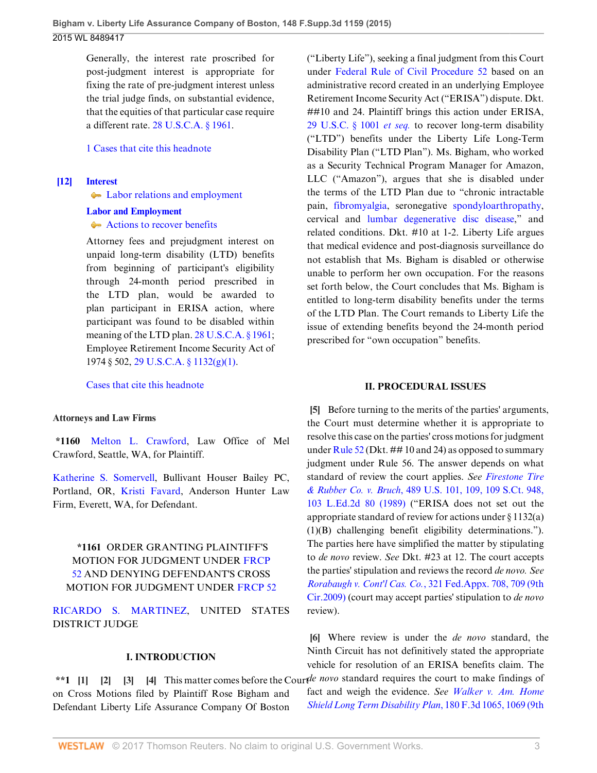Generally, the interest rate proscribed for post-judgment interest is appropriate for fixing the rate of pre-judgment interest unless the trial judge finds, on substantial evidence, that the equities of that particular case require a different rate. [28 U.S.C.A. § 1961](http://www.westlaw.com/Link/Document/FullText?findType=L&pubNum=1000546&cite=28USCAS1961&originatingDoc=I65954630a08e11e5b10893af99153f48&refType=LQ&originationContext=document&vr=3.0&rs=cblt1.0&transitionType=DocumentItem&contextData=(sc.UserEnteredCitation)).

[1 Cases that cite this headnote](http://www.westlaw.com/Link/RelatedInformation/DocHeadnoteLink?docGuid=I65954630a08e11e5b10893af99153f48&headnoteId=203778352301020160817104501&originationContext=document&vr=3.0&rs=cblt1.0&transitionType=CitingReferences&contextData=(sc.UserEnteredCitation))

<span id="page-2-0"></span>**[\[12\]](#page-8-3) [Interest](http://www.westlaw.com/Browse/Home/KeyNumber/219/View.html?docGuid=I65954630a08e11e5b10893af99153f48&originationContext=document&vr=3.0&rs=cblt1.0&transitionType=DocumentItem&contextData=(sc.UserEnteredCitation))**

 $\leftarrow$  [Labor relations and employment](http://www.westlaw.com/Browse/Home/KeyNumber/219k39(2.40)/View.html?docGuid=I65954630a08e11e5b10893af99153f48&originationContext=document&vr=3.0&rs=cblt1.0&transitionType=DocumentItem&contextData=(sc.UserEnteredCitation))

#### **[Labor and Employment](http://www.westlaw.com/Browse/Home/KeyNumber/231H/View.html?docGuid=I65954630a08e11e5b10893af99153f48&originationContext=document&vr=3.0&rs=cblt1.0&transitionType=DocumentItem&contextData=(sc.UserEnteredCitation))**

[Actions to recover benefits](http://www.westlaw.com/Browse/Home/KeyNumber/231Hk717/View.html?docGuid=I65954630a08e11e5b10893af99153f48&originationContext=document&vr=3.0&rs=cblt1.0&transitionType=DocumentItem&contextData=(sc.UserEnteredCitation))

Attorney fees and prejudgment interest on unpaid long-term disability (LTD) benefits from beginning of participant's eligibility through 24-month period prescribed in the LTD plan, would be awarded to plan participant in ERISA action, where participant was found to be disabled within meaning of the LTD plan. [28 U.S.C.A. § 1961;](http://www.westlaw.com/Link/Document/FullText?findType=L&pubNum=1000546&cite=28USCAS1961&originatingDoc=I65954630a08e11e5b10893af99153f48&refType=LQ&originationContext=document&vr=3.0&rs=cblt1.0&transitionType=DocumentItem&contextData=(sc.UserEnteredCitation)) Employee Retirement Income Security Act of 1974 § 502, [29 U.S.C.A. § 1132\(g\)\(1\).](http://www.westlaw.com/Link/Document/FullText?findType=L&pubNum=1000546&cite=29USCAS1132&originatingDoc=I65954630a08e11e5b10893af99153f48&refType=SP&originationContext=document&vr=3.0&rs=cblt1.0&transitionType=DocumentItem&contextData=(sc.UserEnteredCitation)#co_pp_4d690000c9482)

[Cases that cite this headnote](http://www.westlaw.com/Link/RelatedInformation/DocHeadnoteLink?docGuid=I65954630a08e11e5b10893af99153f48&headnoteId=203778352301120160817104501&originationContext=document&vr=3.0&rs=cblt1.0&transitionType=CitingReferences&contextData=(sc.UserEnteredCitation))

#### **Attorneys and Law Firms**

**\*1160** [Melton L. Crawford](http://www.westlaw.com/Link/Document/FullText?findType=h&pubNum=176284&cite=0168090501&originatingDoc=I65954630a08e11e5b10893af99153f48&refType=RQ&originationContext=document&vr=3.0&rs=cblt1.0&transitionType=DocumentItem&contextData=(sc.UserEnteredCitation)), Law Office of Mel Crawford, Seattle, WA, for Plaintiff.

[Katherine S. Somervell,](http://www.westlaw.com/Link/Document/FullText?findType=h&pubNum=176284&cite=0136047901&originatingDoc=I65954630a08e11e5b10893af99153f48&refType=RQ&originationContext=document&vr=3.0&rs=cblt1.0&transitionType=DocumentItem&contextData=(sc.UserEnteredCitation)) Bullivant Houser Bailey PC, Portland, OR, [Kristi Favard](http://www.westlaw.com/Link/Document/FullText?findType=h&pubNum=176284&cite=0334332001&originatingDoc=I65954630a08e11e5b10893af99153f48&refType=RQ&originationContext=document&vr=3.0&rs=cblt1.0&transitionType=DocumentItem&contextData=(sc.UserEnteredCitation)), Anderson Hunter Law Firm, Everett, WA, for Defendant.

# **\*1161** ORDER GRANTING PLAINTIFF'S MOTION FOR JUDGMENT UNDER [FRCP](http://www.westlaw.com/Link/Document/FullText?findType=L&pubNum=1000600&cite=USFRCPR52&originatingDoc=I65954630a08e11e5b10893af99153f48&refType=LQ&originationContext=document&vr=3.0&rs=cblt1.0&transitionType=DocumentItem&contextData=(sc.UserEnteredCitation)) [52](http://www.westlaw.com/Link/Document/FullText?findType=L&pubNum=1000600&cite=USFRCPR52&originatingDoc=I65954630a08e11e5b10893af99153f48&refType=LQ&originationContext=document&vr=3.0&rs=cblt1.0&transitionType=DocumentItem&contextData=(sc.UserEnteredCitation)) AND DENYING DEFENDANT'S CROSS MOTION FOR JUDGMENT UNDER [FRCP 52](http://www.westlaw.com/Link/Document/FullText?findType=L&pubNum=1000600&cite=USFRCPR52&originatingDoc=I65954630a08e11e5b10893af99153f48&refType=LQ&originationContext=document&vr=3.0&rs=cblt1.0&transitionType=DocumentItem&contextData=(sc.UserEnteredCitation))

[RICARDO S. MARTINEZ,](http://www.westlaw.com/Link/Document/FullText?findType=h&pubNum=176284&cite=0170130101&originatingDoc=I65954630a08e11e5b10893af99153f48&refType=RQ&originationContext=document&vr=3.0&rs=cblt1.0&transitionType=DocumentItem&contextData=(sc.UserEnteredCitation)) UNITED STATES DISTRICT JUDGE

# <span id="page-2-4"></span><span id="page-2-3"></span><span id="page-2-2"></span><span id="page-2-1"></span>**I. INTRODUCTION**

on Cross Motions filed by Plaintiff Rose Bigham and Defendant Liberty Life Assurance Company Of Boston ("Liberty Life"), seeking a final judgment from this Court under [Federal Rule of Civil Procedure 52](http://www.westlaw.com/Link/Document/FullText?findType=L&pubNum=1000600&cite=USFRCPR52&originatingDoc=I65954630a08e11e5b10893af99153f48&refType=LQ&originationContext=document&vr=3.0&rs=cblt1.0&transitionType=DocumentItem&contextData=(sc.UserEnteredCitation)) based on an administrative record created in an underlying Employee Retirement Income Security Act ("ERISA") dispute. Dkt. ##10 and 24. Plaintiff brings this action under ERISA, [29 U.S.C. § 1001](http://www.westlaw.com/Link/Document/FullText?findType=L&pubNum=1000546&cite=29USCAS1001&originatingDoc=I65954630a08e11e5b10893af99153f48&refType=LQ&originationContext=document&vr=3.0&rs=cblt1.0&transitionType=DocumentItem&contextData=(sc.UserEnteredCitation)) *et seq.* to recover long-term disability ("LTD") benefits under the Liberty Life Long-Term Disability Plan ("LTD Plan"). Ms. Bigham, who worked as a Security Technical Program Manager for Amazon, LLC ("Amazon"), argues that she is disabled under the terms of the LTD Plan due to "chronic intractable pain, [fibromyalgia](http://www.westlaw.com/Link/Document/FullText?entityType=disease&entityId=Ic21f0856475411db9765f9243f53508a&originationContext=document&transitionType=DocumentItem&contextData=(sc.Default)&vr=3.0&rs=cblt1.0), seronegative [spondyloarthropathy](http://www.westlaw.com/Link/Document/FullText?entityType=disease&entityId=Ibe3ff8f0475411db9765f9243f53508a&originationContext=document&transitionType=DocumentItem&contextData=(sc.Default)&vr=3.0&rs=cblt1.0), cervical and [lumbar degenerative disc disease,](http://www.westlaw.com/Link/Document/FullText?entityType=disease&entityId=Iabd576a4475411db9765f9243f53508a&originationContext=document&transitionType=DocumentItem&contextData=(sc.Default)&vr=3.0&rs=cblt1.0)" and related conditions. Dkt. #10 at 1-2. Liberty Life argues that medical evidence and post-diagnosis surveillance do not establish that Ms. Bigham is disabled or otherwise unable to perform her own occupation. For the reasons set forth below, the Court concludes that Ms. Bigham is entitled to long-term disability benefits under the terms of the LTD Plan. The Court remands to Liberty Life the issue of extending benefits beyond the 24-month period prescribed for "own occupation" benefits.

#### **II. PROCEDURAL ISSUES**

<span id="page-2-5"></span>**[\[5](#page-0-0)]** Before turning to the merits of the parties' arguments, the Court must determine whether it is appropriate to resolve this case on the parties' cross motions for judgment under [Rule 52](http://www.westlaw.com/Link/Document/FullText?findType=L&pubNum=1000600&cite=USFRCPR52&originatingDoc=I65954630a08e11e5b10893af99153f48&refType=LQ&originationContext=document&vr=3.0&rs=cblt1.0&transitionType=DocumentItem&contextData=(sc.UserEnteredCitation)) (Dkt.  $\# \# 10$  and 24) as opposed to summary judgment under Rule 56. The answer depends on what standard of review the court applies. *See [Firestone Tire](http://www.westlaw.com/Link/Document/FullText?findType=Y&serNum=1989026578&pubNum=0000708&originatingDoc=I65954630a08e11e5b10893af99153f48&refType=RP&originationContext=document&vr=3.0&rs=cblt1.0&transitionType=DocumentItem&contextData=(sc.UserEnteredCitation)) & Rubber Co. v. Bruch*[, 489 U.S. 101, 109, 109 S.Ct. 948,](http://www.westlaw.com/Link/Document/FullText?findType=Y&serNum=1989026578&pubNum=0000708&originatingDoc=I65954630a08e11e5b10893af99153f48&refType=RP&originationContext=document&vr=3.0&rs=cblt1.0&transitionType=DocumentItem&contextData=(sc.UserEnteredCitation)) [103 L.Ed.2d 80 \(1989\)](http://www.westlaw.com/Link/Document/FullText?findType=Y&serNum=1989026578&pubNum=0000708&originatingDoc=I65954630a08e11e5b10893af99153f48&refType=RP&originationContext=document&vr=3.0&rs=cblt1.0&transitionType=DocumentItem&contextData=(sc.UserEnteredCitation)) ("ERISA does not set out the appropriate standard of review for actions under § 1132(a) (1)(B) challenging benefit eligibility determinations."). The parties here have simplified the matter by stipulating to *de novo* review. *See* Dkt. #23 at 12. The court accepts the parties' stipulation and reviews the record *de novo. See Rorabaugh v. Cont'l Cas. Co.*[, 321 Fed.Appx. 708, 709 \(9th](http://www.westlaw.com/Link/Document/FullText?findType=Y&serNum=2018588601&pubNum=0006538&originatingDoc=I65954630a08e11e5b10893af99153f48&refType=RP&fi=co_pp_sp_6538_709&originationContext=document&vr=3.0&rs=cblt1.0&transitionType=DocumentItem&contextData=(sc.UserEnteredCitation)#co_pp_sp_6538_709) [Cir.2009\)](http://www.westlaw.com/Link/Document/FullText?findType=Y&serNum=2018588601&pubNum=0006538&originatingDoc=I65954630a08e11e5b10893af99153f48&refType=RP&fi=co_pp_sp_6538_709&originationContext=document&vr=3.0&rs=cblt1.0&transitionType=DocumentItem&contextData=(sc.UserEnteredCitation)#co_pp_sp_6538_709) (court may accept parties' stipulation to *de novo* review).

\*\*1 [\[1](#page-0-1)] [\[2](#page-0-2)] [\[3](#page-0-3)] [\[4](#page-0-4)] This matter comes before the Court end novo standard requires the court to make findings of **[\[6](#page-1-1)]** Where review is under the *de novo* standard, the Ninth Circuit has not definitively stated the appropriate vehicle for resolution of an ERISA benefits claim. The fact and weigh the evidence. *See [Walker v. Am. Home](http://www.westlaw.com/Link/Document/FullText?findType=Y&serNum=1999141161&pubNum=0000506&originatingDoc=I65954630a08e11e5b10893af99153f48&refType=RP&fi=co_pp_sp_506_1069&originationContext=document&vr=3.0&rs=cblt1.0&transitionType=DocumentItem&contextData=(sc.UserEnteredCitation)#co_pp_sp_506_1069)*

<span id="page-2-6"></span>*[Shield Long Term Disability Plan](http://www.westlaw.com/Link/Document/FullText?findType=Y&serNum=1999141161&pubNum=0000506&originatingDoc=I65954630a08e11e5b10893af99153f48&refType=RP&fi=co_pp_sp_506_1069&originationContext=document&vr=3.0&rs=cblt1.0&transitionType=DocumentItem&contextData=(sc.UserEnteredCitation)#co_pp_sp_506_1069)*, 180 F.3d 1065, 1069 (9th

WESTLAW © 2017 Thomson Reuters. No claim to original U.S. Government Works. 33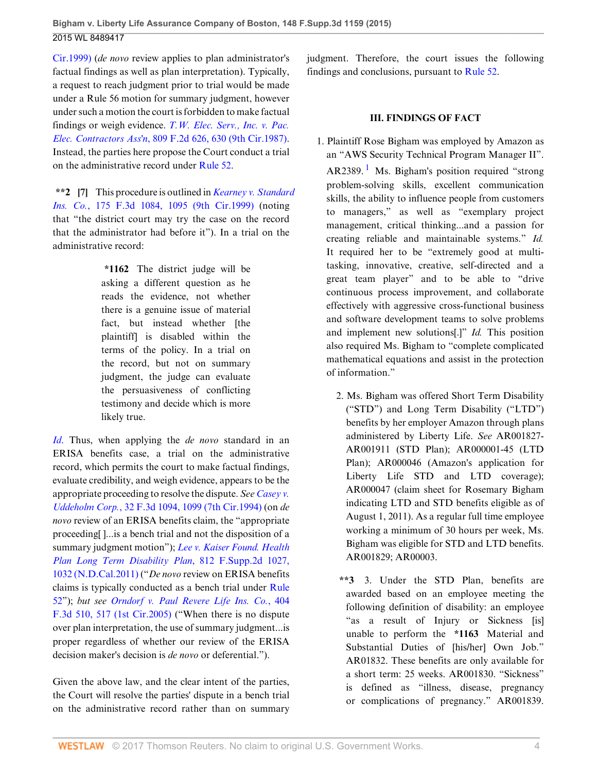[Cir.1999\)](http://www.westlaw.com/Link/Document/FullText?findType=Y&serNum=1999141161&pubNum=0000506&originatingDoc=I65954630a08e11e5b10893af99153f48&refType=RP&fi=co_pp_sp_506_1069&originationContext=document&vr=3.0&rs=cblt1.0&transitionType=DocumentItem&contextData=(sc.UserEnteredCitation)#co_pp_sp_506_1069) (*de novo* review applies to plan administrator's factual findings as well as plan interpretation). Typically, a request to reach judgment prior to trial would be made under a Rule 56 motion for summary judgment, however under such a motion the court is forbidden to make factual findings or weigh evidence. *[T.W. Elec. Serv., Inc. v. Pac.](http://www.westlaw.com/Link/Document/FullText?findType=Y&serNum=1987015303&pubNum=0000350&originatingDoc=I65954630a08e11e5b10893af99153f48&refType=RP&fi=co_pp_sp_350_630&originationContext=document&vr=3.0&rs=cblt1.0&transitionType=DocumentItem&contextData=(sc.UserEnteredCitation)#co_pp_sp_350_630) Elec. Contractors Ass'n*[, 809 F.2d 626, 630 \(9th Cir.1987\)](http://www.westlaw.com/Link/Document/FullText?findType=Y&serNum=1987015303&pubNum=0000350&originatingDoc=I65954630a08e11e5b10893af99153f48&refType=RP&fi=co_pp_sp_350_630&originationContext=document&vr=3.0&rs=cblt1.0&transitionType=DocumentItem&contextData=(sc.UserEnteredCitation)#co_pp_sp_350_630). Instead, the parties here propose the Court conduct a trial on the administrative record under [Rule 52](http://www.westlaw.com/Link/Document/FullText?findType=L&pubNum=1000600&cite=USFRCPR52&originatingDoc=I65954630a08e11e5b10893af99153f48&refType=LQ&originationContext=document&vr=3.0&rs=cblt1.0&transitionType=DocumentItem&contextData=(sc.UserEnteredCitation)).

<span id="page-3-0"></span>**\*\*2 [\[7](#page-1-2)]** This procedure is outlined in *[Kearney v. Standard](http://www.westlaw.com/Link/Document/FullText?findType=Y&serNum=1999110922&pubNum=0000506&originatingDoc=I65954630a08e11e5b10893af99153f48&refType=RP&fi=co_pp_sp_506_1095&originationContext=document&vr=3.0&rs=cblt1.0&transitionType=DocumentItem&contextData=(sc.UserEnteredCitation)#co_pp_sp_506_1095) Ins. Co.*[, 175 F.3d 1084, 1095 \(9th Cir.1999\)](http://www.westlaw.com/Link/Document/FullText?findType=Y&serNum=1999110922&pubNum=0000506&originatingDoc=I65954630a08e11e5b10893af99153f48&refType=RP&fi=co_pp_sp_506_1095&originationContext=document&vr=3.0&rs=cblt1.0&transitionType=DocumentItem&contextData=(sc.UserEnteredCitation)#co_pp_sp_506_1095) (noting that "the district court may try the case on the record that the administrator had before it"). In a trial on the administrative record:

> **\*1162** The district judge will be asking a different question as he reads the evidence, not whether there is a genuine issue of material fact, but instead whether [the plaintiff] is disabled within the terms of the policy. In a trial on the record, but not on summary judgment, the judge can evaluate the persuasiveness of conflicting testimony and decide which is more likely true.

*[Id](http://www.westlaw.com/Link/Document/FullText?findType=Y&serNum=1999110922&pubNum=0000506&originatingDoc=I65954630a08e11e5b10893af99153f48&refType=RP&originationContext=document&vr=3.0&rs=cblt1.0&transitionType=DocumentItem&contextData=(sc.UserEnteredCitation))*. Thus, when applying the *de novo* standard in an ERISA benefits case, a trial on the administrative record, which permits the court to make factual findings, evaluate credibility, and weigh evidence, appears to be the appropriate proceeding to resolve the dispute. *See [Casey v.](http://www.westlaw.com/Link/Document/FullText?findType=Y&serNum=1994168382&pubNum=0000506&originatingDoc=I65954630a08e11e5b10893af99153f48&refType=RP&fi=co_pp_sp_506_1099&originationContext=document&vr=3.0&rs=cblt1.0&transitionType=DocumentItem&contextData=(sc.UserEnteredCitation)#co_pp_sp_506_1099) Uddeholm Corp.*[, 32 F.3d 1094, 1099 \(7th Cir.1994\)](http://www.westlaw.com/Link/Document/FullText?findType=Y&serNum=1994168382&pubNum=0000506&originatingDoc=I65954630a08e11e5b10893af99153f48&refType=RP&fi=co_pp_sp_506_1099&originationContext=document&vr=3.0&rs=cblt1.0&transitionType=DocumentItem&contextData=(sc.UserEnteredCitation)#co_pp_sp_506_1099) (on *de novo* review of an ERISA benefits claim, the "appropriate proceeding[ ]...is a bench trial and not the disposition of a summary judgment motion"); *[Lee v. Kaiser Found. Health](http://www.westlaw.com/Link/Document/FullText?findType=Y&serNum=2026213006&pubNum=0004637&originatingDoc=I65954630a08e11e5b10893af99153f48&refType=RP&fi=co_pp_sp_4637_1032&originationContext=document&vr=3.0&rs=cblt1.0&transitionType=DocumentItem&contextData=(sc.UserEnteredCitation)#co_pp_sp_4637_1032) [Plan Long Term Disability Plan](http://www.westlaw.com/Link/Document/FullText?findType=Y&serNum=2026213006&pubNum=0004637&originatingDoc=I65954630a08e11e5b10893af99153f48&refType=RP&fi=co_pp_sp_4637_1032&originationContext=document&vr=3.0&rs=cblt1.0&transitionType=DocumentItem&contextData=(sc.UserEnteredCitation)#co_pp_sp_4637_1032)*, 812 F.Supp.2d 1027, [1032 \(N.D.Cal.2011\)](http://www.westlaw.com/Link/Document/FullText?findType=Y&serNum=2026213006&pubNum=0004637&originatingDoc=I65954630a08e11e5b10893af99153f48&refType=RP&fi=co_pp_sp_4637_1032&originationContext=document&vr=3.0&rs=cblt1.0&transitionType=DocumentItem&contextData=(sc.UserEnteredCitation)#co_pp_sp_4637_1032) ("*De novo* review on ERISA benefits claims is typically conducted as a bench trial under [Rule](http://www.westlaw.com/Link/Document/FullText?findType=L&pubNum=1000600&cite=USFRCPR52&originatingDoc=I65954630a08e11e5b10893af99153f48&refType=LQ&originationContext=document&vr=3.0&rs=cblt1.0&transitionType=DocumentItem&contextData=(sc.UserEnteredCitation)) [52](http://www.westlaw.com/Link/Document/FullText?findType=L&pubNum=1000600&cite=USFRCPR52&originatingDoc=I65954630a08e11e5b10893af99153f48&refType=LQ&originationContext=document&vr=3.0&rs=cblt1.0&transitionType=DocumentItem&contextData=(sc.UserEnteredCitation))"); *but see [Orndorf v. Paul Revere Life Ins. Co.](http://www.westlaw.com/Link/Document/FullText?findType=Y&serNum=2006469947&pubNum=0000506&originatingDoc=I65954630a08e11e5b10893af99153f48&refType=RP&fi=co_pp_sp_506_517&originationContext=document&vr=3.0&rs=cblt1.0&transitionType=DocumentItem&contextData=(sc.UserEnteredCitation)#co_pp_sp_506_517)*, 404 [F.3d 510, 517 \(1st Cir.2005\)](http://www.westlaw.com/Link/Document/FullText?findType=Y&serNum=2006469947&pubNum=0000506&originatingDoc=I65954630a08e11e5b10893af99153f48&refType=RP&fi=co_pp_sp_506_517&originationContext=document&vr=3.0&rs=cblt1.0&transitionType=DocumentItem&contextData=(sc.UserEnteredCitation)#co_pp_sp_506_517) ("When there is no dispute over plan interpretation, the use of summary judgment...is proper regardless of whether our review of the ERISA decision maker's decision is *de novo* or deferential.").

Given the above law, and the clear intent of the parties, the Court will resolve the parties' dispute in a bench trial on the administrative record rather than on summary judgment. Therefore, the court issues the following findings and conclusions, pursuant to [Rule 52.](http://www.westlaw.com/Link/Document/FullText?findType=L&pubNum=1000600&cite=USFRCPR52&originatingDoc=I65954630a08e11e5b10893af99153f48&refType=LQ&originationContext=document&vr=3.0&rs=cblt1.0&transitionType=DocumentItem&contextData=(sc.UserEnteredCitation))

# <span id="page-3-1"></span>**III. FINDINGS OF FACT**

- 1. Plaintiff Rose Bigham was employed by Amazon as an "AWS Security Technical Program Manager II". AR2389.<sup>[1](#page-9-0)</sup> Ms. Bigham's position required "strong problem-solving skills, excellent communication skills, the ability to influence people from customers to managers," as well as "exemplary project management, critical thinking...and a passion for creating reliable and maintainable systems." *Id.* It required her to be "extremely good at multitasking, innovative, creative, self-directed and a great team player" and to be able to "drive continuous process improvement, and collaborate effectively with aggressive cross-functional business and software development teams to solve problems and implement new solutions[.]" *Id.* This position also required Ms. Bigham to "complete complicated mathematical equations and assist in the protection of information."
	- 2. Ms. Bigham was offered Short Term Disability ("STD") and Long Term Disability ("LTD") benefits by her employer Amazon through plans administered by Liberty Life. *See* AR001827- AR001911 (STD Plan); AR000001-45 (LTD Plan); AR000046 (Amazon's application for Liberty Life STD and LTD coverage); AR000047 (claim sheet for Rosemary Bigham indicating LTD and STD benefits eligible as of August 1, 2011). As a regular full time employee working a minimum of 30 hours per week, Ms. Bigham was eligible for STD and LTD benefits. AR001829; AR00003.
	- **\*\*3** 3. Under the STD Plan, benefits are awarded based on an employee meeting the following definition of disability: an employee "as a result of Injury or Sickness [is] unable to perform the **\*1163** Material and Substantial Duties of [his/her] Own Job." AR01832. These benefits are only available for a short term: 25 weeks. AR001830. "Sickness" is defined as "illness, disease, pregnancy or complications of pregnancy." AR001839.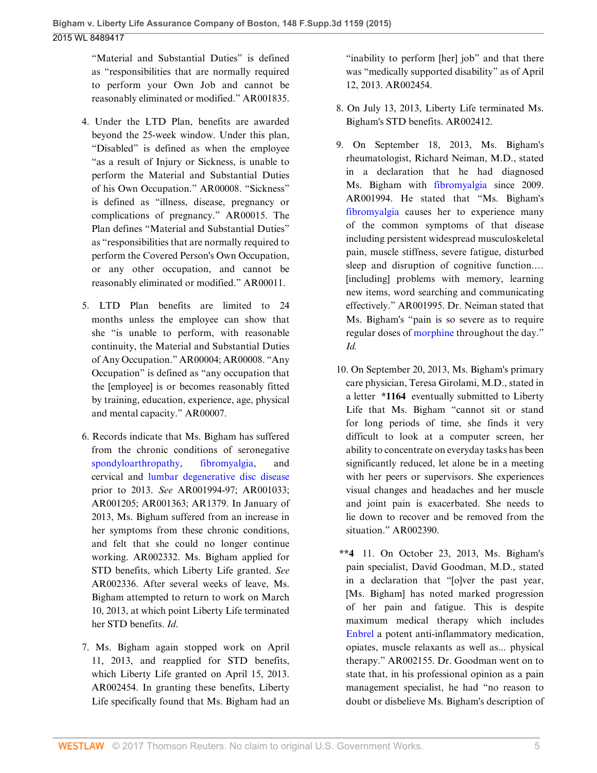"Material and Substantial Duties" is defined as "responsibilities that are normally required to perform your Own Job and cannot be reasonably eliminated or modified." AR001835.

- 4. Under the LTD Plan, benefits are awarded beyond the 25-week window. Under this plan, "Disabled" is defined as when the employee "as a result of Injury or Sickness, is unable to perform the Material and Substantial Duties of his Own Occupation." AR00008. "Sickness" is defined as "illness, disease, pregnancy or complications of pregnancy." AR00015. The Plan defines "Material and Substantial Duties" as "responsibilities that are normally required to perform the Covered Person's Own Occupation, or any other occupation, and cannot be reasonably eliminated or modified." AR00011.
- 5. LTD Plan benefits are limited to 24 months unless the employee can show that she "is unable to perform, with reasonable continuity, the Material and Substantial Duties of Any Occupation." AR00004; AR00008. "Any Occupation" is defined as "any occupation that the [employee] is or becomes reasonably fitted by training, education, experience, age, physical and mental capacity." AR00007.
- 6. Records indicate that Ms. Bigham has suffered from the chronic conditions of seronegative [spondyloarthropathy,](http://www.westlaw.com/Link/Document/FullText?entityType=disease&entityId=Ibe3ff8f0475411db9765f9243f53508a&originationContext=document&transitionType=DocumentItem&contextData=(sc.Default)&vr=3.0&rs=cblt1.0) [fibromyalgia](http://www.westlaw.com/Link/Document/FullText?entityType=disease&entityId=Ic21f0856475411db9765f9243f53508a&originationContext=document&transitionType=DocumentItem&contextData=(sc.Default)&vr=3.0&rs=cblt1.0), and cervical and [lumbar degenerative disc disease](http://www.westlaw.com/Link/Document/FullText?entityType=disease&entityId=Iabd576a4475411db9765f9243f53508a&originationContext=document&transitionType=DocumentItem&contextData=(sc.Default)&vr=3.0&rs=cblt1.0) prior to 2013. *See* AR001994-97; AR001033; AR001205; AR001363; AR1379. In January of 2013, Ms. Bigham suffered from an increase in her symptoms from these chronic conditions, and felt that she could no longer continue working. AR002332. Ms. Bigham applied for STD benefits, which Liberty Life granted. *See* AR002336. After several weeks of leave, Ms. Bigham attempted to return to work on March 10, 2013, at which point Liberty Life terminated her STD benefits. *Id*.
- 7. Ms. Bigham again stopped work on April 11, 2013, and reapplied for STD benefits, which Liberty Life granted on April 15, 2013. AR002454. In granting these benefits, Liberty Life specifically found that Ms. Bigham had an

"inability to perform [her] job" and that there was "medically supported disability" as of April 12, 2013. AR002454.

- 8. On July 13, 2013, Liberty Life terminated Ms. Bigham's STD benefits. AR002412.
- 9. On September 18, 2013, Ms. Bigham's rheumatologist, Richard Neiman, M.D., stated in a declaration that he had diagnosed Ms. Bigham with [fibromyalgia](http://www.westlaw.com/Link/Document/FullText?entityType=disease&entityId=Ic21f0856475411db9765f9243f53508a&originationContext=document&transitionType=DocumentItem&contextData=(sc.Default)&vr=3.0&rs=cblt1.0) since 2009. AR001994. He stated that "Ms. Bigham's [fibromyalgia](http://www.westlaw.com/Link/Document/FullText?entityType=disease&entityId=Ic21f0856475411db9765f9243f53508a&originationContext=document&transitionType=DocumentItem&contextData=(sc.Default)&vr=3.0&rs=cblt1.0) causes her to experience many of the common symptoms of that disease including persistent widespread musculoskeletal pain, muscle stiffness, severe fatigue, disturbed sleep and disruption of cognitive function.... [including] problems with memory, learning new items, word searching and communicating effectively." AR001995. Dr. Neiman stated that Ms. Bigham's "pain is so severe as to require regular doses of [morphine](http://www.westlaw.com/Link/Document/FullText?entityType=gdrug&entityId=I3af158e9475111db9765f9243f53508a&originationContext=document&transitionType=DocumentItem&contextData=(sc.Default)&vr=3.0&rs=cblt1.0) throughout the day." *Id.*
- 10. On September 20, 2013, Ms. Bigham's primary care physician, Teresa Girolami, M.D., stated in a letter **\*1164** eventually submitted to Liberty Life that Ms. Bigham "cannot sit or stand for long periods of time, she finds it very difficult to look at a computer screen, her ability to concentrate on everyday tasks has been significantly reduced, let alone be in a meeting with her peers or supervisors. She experiences visual changes and headaches and her muscle and joint pain is exacerbated. She needs to lie down to recover and be removed from the situation." AR002390.
- **\*\*4** 11. On October 23, 2013, Ms. Bigham's pain specialist, David Goodman, M.D., stated in a declaration that "[o]ver the past year, [Ms. Bigham] has noted marked progression of her pain and fatigue. This is despite maximum medical therapy which includes [Enbrel](http://www.westlaw.com/Link/Document/FullText?entityType=bdrug&entityId=I381f2594475111db9765f9243f53508a&originationContext=document&transitionType=DocumentItem&contextData=(sc.Default)&vr=3.0&rs=cblt1.0) a potent anti-inflammatory medication, opiates, muscle relaxants as well as... physical therapy." AR002155. Dr. Goodman went on to state that, in his professional opinion as a pain management specialist, he had "no reason to doubt or disbelieve Ms. Bigham's description of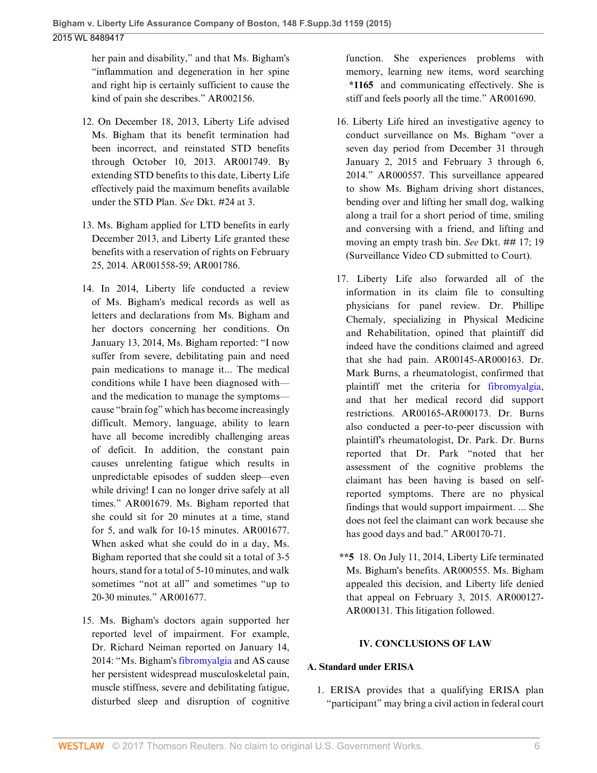her pain and disability," and that Ms. Bigham's "inflammation and degeneration in her spine and right hip is certainly sufficient to cause the kind of pain she describes." AR002156.

- 12. On December 18, 2013, Liberty Life advised Ms. Bigham that its benefit termination had been incorrect, and reinstated STD benefits through October 10, 2013. AR001749. By extending STD benefits to this date, Liberty Life effectively paid the maximum benefits available under the STD Plan. *See* Dkt. #24 at 3.
- 13. Ms. Bigham applied for LTD benefits in early December 2013, and Liberty Life granted these benefits with a reservation of rights on February 25, 2014. AR001558-59; AR001786.
- 14. In 2014, Liberty life conducted a review of Ms. Bigham's medical records as well as letters and declarations from Ms. Bigham and her doctors concerning her conditions. On January 13, 2014, Ms. Bigham reported: "I now suffer from severe, debilitating pain and need pain medications to manage it... The medical conditions while I have been diagnosed with and the medication to manage the symptoms cause "brain fog" which has become increasingly difficult. Memory, language, ability to learn have all become incredibly challenging areas of deficit. In addition, the constant pain causes unrelenting fatigue which results in unpredictable episodes of sudden sleep—even while driving! I can no longer drive safely at all times." AR001679. Ms. Bigham reported that she could sit for 20 minutes at a time, stand for 5, and walk for 10-15 minutes. AR001677. When asked what she could do in a day, Ms. Bigham reported that she could sit a total of 3-5 hours, stand for a total of 5-10 minutes, and walk sometimes "not at all" and sometimes "up to 20-30 minutes." AR001677.
- 15. Ms. Bigham's doctors again supported her reported level of impairment. For example, Dr. Richard Neiman reported on January 14, 2014: "Ms. Bigham's [fibromyalgia](http://www.westlaw.com/Link/Document/FullText?entityType=disease&entityId=Ic21f0856475411db9765f9243f53508a&originationContext=document&transitionType=DocumentItem&contextData=(sc.Default)&vr=3.0&rs=cblt1.0) and AS cause her persistent widespread musculoskeletal pain, muscle stiffness, severe and debilitating fatigue, disturbed sleep and disruption of cognitive

function. She experiences problems with memory, learning new items, word searching **\*1165** and communicating effectively. She is stiff and feels poorly all the time." AR001690.

- 16. Liberty Life hired an investigative agency to conduct surveillance on Ms. Bigham "over a seven day period from December 31 through January 2, 2015 and February 3 through 6, 2014." AR000557. This surveillance appeared to show Ms. Bigham driving short distances, bending over and lifting her small dog, walking along a trail for a short period of time, smiling and conversing with a friend, and lifting and moving an empty trash bin. *See* Dkt. ## 17; 19 (Surveillance Video CD submitted to Court).
- 17. Liberty Life also forwarded all of the information in its claim file to consulting physicians for panel review. Dr. Phillipe Chemaly, specializing in Physical Medicine and Rehabilitation, opined that plaintiff did indeed have the conditions claimed and agreed that she had pain. AR00145-AR000163. Dr. Mark Burns, a rheumatologist, confirmed that plaintiff met the criteria for [fibromyalgia](http://www.westlaw.com/Link/Document/FullText?entityType=disease&entityId=Ic21f0856475411db9765f9243f53508a&originationContext=document&transitionType=DocumentItem&contextData=(sc.Default)&vr=3.0&rs=cblt1.0), and that her medical record did support restrictions. AR00165-AR000173. Dr. Burns also conducted a peer-to-peer discussion with plaintiff's rheumatologist, Dr. Park. Dr. Burns reported that Dr. Park "noted that her assessment of the cognitive problems the claimant has been having is based on selfreported symptoms. There are no physical findings that would support impairment. ... She does not feel the claimant can work because she has good days and bad." AR00170-71.
- **\*\*5** 18. On July 11, 2014, Liberty Life terminated Ms. Bigham's benefits. AR000555. Ms. Bigham appealed this decision, and Liberty life denied that appeal on February 3, 2015. AR000127- AR000131. This litigation followed.

# **IV. CONCLUSIONS OF LAW**

# **A. Standard under ERISA**

1. ERISA provides that a qualifying ERISA plan "participant" may bring a civil action in federal court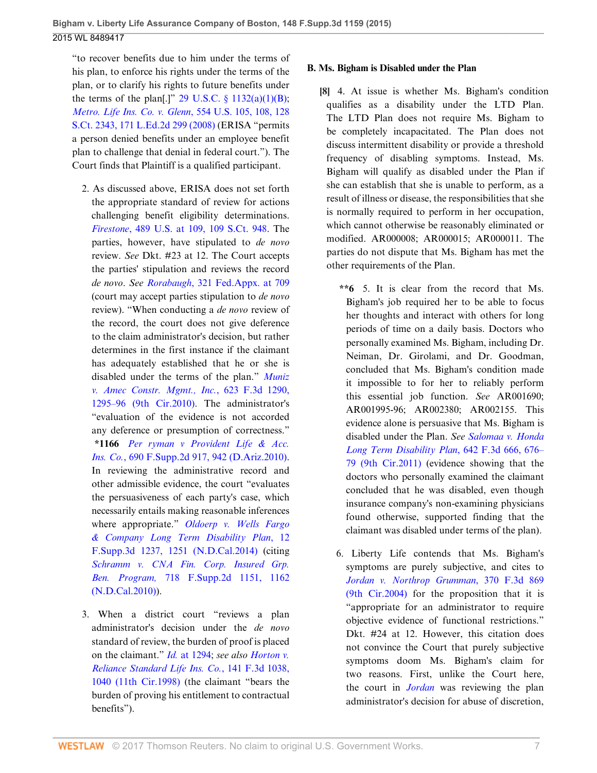"to recover benefits due to him under the terms of his plan, to enforce his rights under the terms of the plan, or to clarify his rights to future benefits under the terms of the plan[.]" 29 U.S.C.  $\S$  1132(a)(1)(B); *[Metro. Life Ins. Co. v. Glenn](http://www.westlaw.com/Link/Document/FullText?findType=Y&serNum=2016336257&pubNum=0000708&originatingDoc=I65954630a08e11e5b10893af99153f48&refType=RP&originationContext=document&vr=3.0&rs=cblt1.0&transitionType=DocumentItem&contextData=(sc.UserEnteredCitation))*, 554 U.S. 105, 108, 128 [S.Ct. 2343, 171 L.Ed.2d 299 \(2008\)](http://www.westlaw.com/Link/Document/FullText?findType=Y&serNum=2016336257&pubNum=0000708&originatingDoc=I65954630a08e11e5b10893af99153f48&refType=RP&originationContext=document&vr=3.0&rs=cblt1.0&transitionType=DocumentItem&contextData=(sc.UserEnteredCitation)) (ERISA "permits a person denied benefits under an employee benefit plan to challenge that denial in federal court."). The Court finds that Plaintiff is a qualified participant.

- 2. As discussed above, ERISA does not set forth the appropriate standard of review for actions challenging benefit eligibility determinations. *Firestone*[, 489 U.S. at 109, 109 S.Ct. 948.](http://www.westlaw.com/Link/Document/FullText?findType=Y&serNum=1989026578&pubNum=0000708&originatingDoc=I65954630a08e11e5b10893af99153f48&refType=RP&originationContext=document&vr=3.0&rs=cblt1.0&transitionType=DocumentItem&contextData=(sc.UserEnteredCitation)) The parties, however, have stipulated to *de novo* review. *See* Dkt. #23 at 12. The Court accepts the parties' stipulation and reviews the record *de novo*. *See Rorabaugh*[, 321 Fed.Appx. at 709](http://www.westlaw.com/Link/Document/FullText?findType=Y&serNum=2018588601&pubNum=0006538&originatingDoc=I65954630a08e11e5b10893af99153f48&refType=RP&fi=co_pp_sp_6538_709&originationContext=document&vr=3.0&rs=cblt1.0&transitionType=DocumentItem&contextData=(sc.UserEnteredCitation)#co_pp_sp_6538_709) (court may accept parties stipulation to *de novo* review). "When conducting a *de novo* review of the record, the court does not give deference to the claim administrator's decision, but rather determines in the first instance if the claimant has adequately established that he or she is disabled under the terms of the plan." *[Muniz](http://www.westlaw.com/Link/Document/FullText?findType=Y&serNum=2023501190&pubNum=0000506&originatingDoc=I65954630a08e11e5b10893af99153f48&refType=RP&fi=co_pp_sp_506_1295&originationContext=document&vr=3.0&rs=cblt1.0&transitionType=DocumentItem&contextData=(sc.UserEnteredCitation)#co_pp_sp_506_1295) [v. Amec Constr. Mgmt., Inc.](http://www.westlaw.com/Link/Document/FullText?findType=Y&serNum=2023501190&pubNum=0000506&originatingDoc=I65954630a08e11e5b10893af99153f48&refType=RP&fi=co_pp_sp_506_1295&originationContext=document&vr=3.0&rs=cblt1.0&transitionType=DocumentItem&contextData=(sc.UserEnteredCitation)#co_pp_sp_506_1295)*, 623 F.3d 1290, [1295–96 \(9th Cir.2010\).](http://www.westlaw.com/Link/Document/FullText?findType=Y&serNum=2023501190&pubNum=0000506&originatingDoc=I65954630a08e11e5b10893af99153f48&refType=RP&fi=co_pp_sp_506_1295&originationContext=document&vr=3.0&rs=cblt1.0&transitionType=DocumentItem&contextData=(sc.UserEnteredCitation)#co_pp_sp_506_1295) The administrator's "evaluation of the evidence is not accorded any deference or presumption of correctness." **\*1166** *[Per ryman v Provident Life & Acc.](http://www.westlaw.com/Link/Document/FullText?findType=Y&serNum=2021391747&pubNum=0004637&originatingDoc=I65954630a08e11e5b10893af99153f48&refType=RP&fi=co_pp_sp_4637_942&originationContext=document&vr=3.0&rs=cblt1.0&transitionType=DocumentItem&contextData=(sc.UserEnteredCitation)#co_pp_sp_4637_942) Ins. Co.*[, 690 F.Supp.2d 917, 942 \(D.Ariz.2010\)](http://www.westlaw.com/Link/Document/FullText?findType=Y&serNum=2021391747&pubNum=0004637&originatingDoc=I65954630a08e11e5b10893af99153f48&refType=RP&fi=co_pp_sp_4637_942&originationContext=document&vr=3.0&rs=cblt1.0&transitionType=DocumentItem&contextData=(sc.UserEnteredCitation)#co_pp_sp_4637_942). In reviewing the administrative record and other admissible evidence, the court "evaluates the persuasiveness of each party's case, which necessarily entails making reasonable inferences where appropriate." *[Oldoerp v. Wells Fargo](http://www.westlaw.com/Link/Document/FullText?findType=Y&serNum=2032613026&pubNum=0007903&originatingDoc=I65954630a08e11e5b10893af99153f48&refType=RP&fi=co_pp_sp_7903_1251&originationContext=document&vr=3.0&rs=cblt1.0&transitionType=DocumentItem&contextData=(sc.UserEnteredCitation)#co_pp_sp_7903_1251) [& Company Long Term Disability Plan](http://www.westlaw.com/Link/Document/FullText?findType=Y&serNum=2032613026&pubNum=0007903&originatingDoc=I65954630a08e11e5b10893af99153f48&refType=RP&fi=co_pp_sp_7903_1251&originationContext=document&vr=3.0&rs=cblt1.0&transitionType=DocumentItem&contextData=(sc.UserEnteredCitation)#co_pp_sp_7903_1251)*, 12 [F.Supp.3d 1237, 1251 \(N.D.Cal.2014\)](http://www.westlaw.com/Link/Document/FullText?findType=Y&serNum=2032613026&pubNum=0007903&originatingDoc=I65954630a08e11e5b10893af99153f48&refType=RP&fi=co_pp_sp_7903_1251&originationContext=document&vr=3.0&rs=cblt1.0&transitionType=DocumentItem&contextData=(sc.UserEnteredCitation)#co_pp_sp_7903_1251) (citing *[Schramm v. CNA Fin. Corp. Insured Grp.](http://www.westlaw.com/Link/Document/FullText?findType=Y&serNum=2022333994&pubNum=0004637&originatingDoc=I65954630a08e11e5b10893af99153f48&refType=RP&fi=co_pp_sp_4637_1162&originationContext=document&vr=3.0&rs=cblt1.0&transitionType=DocumentItem&contextData=(sc.UserEnteredCitation)#co_pp_sp_4637_1162) Ben. Program,* [718 F.Supp.2d 1151, 1162](http://www.westlaw.com/Link/Document/FullText?findType=Y&serNum=2022333994&pubNum=0004637&originatingDoc=I65954630a08e11e5b10893af99153f48&refType=RP&fi=co_pp_sp_4637_1162&originationContext=document&vr=3.0&rs=cblt1.0&transitionType=DocumentItem&contextData=(sc.UserEnteredCitation)#co_pp_sp_4637_1162) [\(N.D.Cal.2010\)](http://www.westlaw.com/Link/Document/FullText?findType=Y&serNum=2022333994&pubNum=0004637&originatingDoc=I65954630a08e11e5b10893af99153f48&refType=RP&fi=co_pp_sp_4637_1162&originationContext=document&vr=3.0&rs=cblt1.0&transitionType=DocumentItem&contextData=(sc.UserEnteredCitation)#co_pp_sp_4637_1162)).
- 3. When a district court "reviews a plan administrator's decision under the *de novo* standard of review, the burden of proof is placed on the claimant." *Id.* [at 1294;](http://www.westlaw.com/Link/Document/FullText?findType=Y&serNum=2032613026&pubNum=0007903&originatingDoc=I65954630a08e11e5b10893af99153f48&refType=RP&fi=co_pp_sp_7903_1294&originationContext=document&vr=3.0&rs=cblt1.0&transitionType=DocumentItem&contextData=(sc.UserEnteredCitation)#co_pp_sp_7903_1294) *see also [Horton v.](http://www.westlaw.com/Link/Document/FullText?findType=Y&serNum=1998111408&pubNum=0000506&originatingDoc=I65954630a08e11e5b10893af99153f48&refType=RP&fi=co_pp_sp_506_1040&originationContext=document&vr=3.0&rs=cblt1.0&transitionType=DocumentItem&contextData=(sc.UserEnteredCitation)#co_pp_sp_506_1040) [Reliance Standard Life Ins. Co.](http://www.westlaw.com/Link/Document/FullText?findType=Y&serNum=1998111408&pubNum=0000506&originatingDoc=I65954630a08e11e5b10893af99153f48&refType=RP&fi=co_pp_sp_506_1040&originationContext=document&vr=3.0&rs=cblt1.0&transitionType=DocumentItem&contextData=(sc.UserEnteredCitation)#co_pp_sp_506_1040)*, 141 F.3d 1038, [1040 \(11th Cir.1998\)](http://www.westlaw.com/Link/Document/FullText?findType=Y&serNum=1998111408&pubNum=0000506&originatingDoc=I65954630a08e11e5b10893af99153f48&refType=RP&fi=co_pp_sp_506_1040&originationContext=document&vr=3.0&rs=cblt1.0&transitionType=DocumentItem&contextData=(sc.UserEnteredCitation)#co_pp_sp_506_1040) (the claimant "bears the burden of proving his entitlement to contractual benefits").

# **B. Ms. Bigham is Disabled under the Plan**

<span id="page-6-0"></span>**[\[8](#page-1-0)]** 4. At issue is whether Ms. Bigham's condition qualifies as a disability under the LTD Plan. The LTD Plan does not require Ms. Bigham to be completely incapacitated. The Plan does not discuss intermittent disability or provide a threshold frequency of disabling symptoms. Instead, Ms. Bigham will qualify as disabled under the Plan if she can establish that she is unable to perform, as a result of illness or disease, the responsibilities that she is normally required to perform in her occupation, which cannot otherwise be reasonably eliminated or modified. AR000008; AR000015; AR000011. The parties do not dispute that Ms. Bigham has met the other requirements of the Plan.

- **\*\*6** 5. It is clear from the record that Ms. Bigham's job required her to be able to focus her thoughts and interact with others for long periods of time on a daily basis. Doctors who personally examined Ms. Bigham, including Dr. Neiman, Dr. Girolami, and Dr. Goodman, concluded that Ms. Bigham's condition made it impossible to for her to reliably perform this essential job function. *See* AR001690; AR001995-96; AR002380; AR002155. This evidence alone is persuasive that Ms. Bigham is disabled under the Plan. *See [Salomaa v. Honda](http://www.westlaw.com/Link/Document/FullText?findType=Y&serNum=2025355366&pubNum=0000506&originatingDoc=I65954630a08e11e5b10893af99153f48&refType=RP&fi=co_pp_sp_506_676&originationContext=document&vr=3.0&rs=cblt1.0&transitionType=DocumentItem&contextData=(sc.UserEnteredCitation)#co_pp_sp_506_676) [Long Term Disability Plan](http://www.westlaw.com/Link/Document/FullText?findType=Y&serNum=2025355366&pubNum=0000506&originatingDoc=I65954630a08e11e5b10893af99153f48&refType=RP&fi=co_pp_sp_506_676&originationContext=document&vr=3.0&rs=cblt1.0&transitionType=DocumentItem&contextData=(sc.UserEnteredCitation)#co_pp_sp_506_676)*, 642 F.3d 666, 676– [79 \(9th Cir.2011\)](http://www.westlaw.com/Link/Document/FullText?findType=Y&serNum=2025355366&pubNum=0000506&originatingDoc=I65954630a08e11e5b10893af99153f48&refType=RP&fi=co_pp_sp_506_676&originationContext=document&vr=3.0&rs=cblt1.0&transitionType=DocumentItem&contextData=(sc.UserEnteredCitation)#co_pp_sp_506_676) (evidence showing that the doctors who personally examined the claimant concluded that he was disabled, even though insurance company's non-examining physicians found otherwise, supported finding that the claimant was disabled under terms of the plan).
- 6. Liberty Life contends that Ms. Bigham's symptoms are purely subjective, and cites to *[Jordan v. Northrop Grumman](http://www.westlaw.com/Link/Document/FullText?findType=Y&serNum=2004531590&pubNum=0000506&originatingDoc=I65954630a08e11e5b10893af99153f48&refType=RP&originationContext=document&vr=3.0&rs=cblt1.0&transitionType=DocumentItem&contextData=(sc.UserEnteredCitation))*, 370 F.3d 869 [\(9th Cir.2004\)](http://www.westlaw.com/Link/Document/FullText?findType=Y&serNum=2004531590&pubNum=0000506&originatingDoc=I65954630a08e11e5b10893af99153f48&refType=RP&originationContext=document&vr=3.0&rs=cblt1.0&transitionType=DocumentItem&contextData=(sc.UserEnteredCitation)) for the proposition that it is "appropriate for an administrator to require objective evidence of functional restrictions." Dkt. #24 at 12. However, this citation does not convince the Court that purely subjective symptoms doom Ms. Bigham's claim for two reasons. First, unlike the Court here, the court in *[Jordan](http://www.westlaw.com/Link/Document/FullText?findType=Y&serNum=2004531590&pubNum=0000506&originatingDoc=I65954630a08e11e5b10893af99153f48&refType=RP&originationContext=document&vr=3.0&rs=cblt1.0&transitionType=DocumentItem&contextData=(sc.UserEnteredCitation))* was reviewing the plan administrator's decision for abuse of discretion,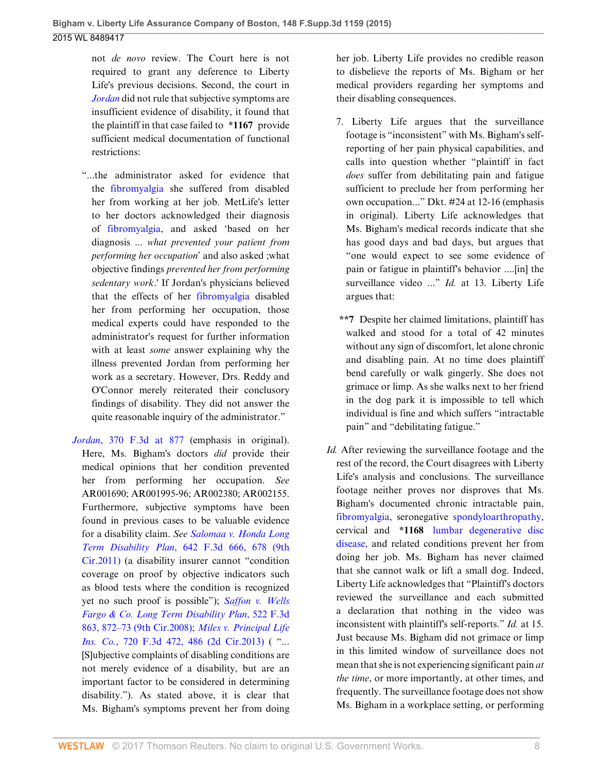not *de novo* review. The Court here is not required to grant any deference to Liberty Life's previous decisions. Second, the court in *[Jordan](http://www.westlaw.com/Link/Document/FullText?findType=Y&serNum=2004531590&pubNum=0000506&originatingDoc=I65954630a08e11e5b10893af99153f48&refType=RP&originationContext=document&vr=3.0&rs=cblt1.0&transitionType=DocumentItem&contextData=(sc.UserEnteredCitation))* did not rule that subjective symptoms are insufficient evidence of disability, it found that the plaintiff in that case failed to **\*1167** provide sufficient medical documentation of functional restrictions:

- "...the administrator asked for evidence that the [fibromyalgia](http://www.westlaw.com/Link/Document/FullText?entityType=disease&entityId=Ic21f0856475411db9765f9243f53508a&originationContext=document&transitionType=DocumentItem&contextData=(sc.Default)&vr=3.0&rs=cblt1.0) she suffered from disabled her from working at her job. MetLife's letter to her doctors acknowledged their diagnosis of [fibromyalgia,](http://www.westlaw.com/Link/Document/FullText?entityType=disease&entityId=Ic21f0856475411db9765f9243f53508a&originationContext=document&transitionType=DocumentItem&contextData=(sc.Default)&vr=3.0&rs=cblt1.0) and asked 'based on her diagnosis ... *what prevented your patient from performing her occupation*' and also asked ;what objective findings *prevented her from performing sedentary work*.' If Jordan's physicians believed that the effects of her [fibromyalgia](http://www.westlaw.com/Link/Document/FullText?entityType=disease&entityId=Ic21f0856475411db9765f9243f53508a&originationContext=document&transitionType=DocumentItem&contextData=(sc.Default)&vr=3.0&rs=cblt1.0) disabled her from performing her occupation, those medical experts could have responded to the administrator's request for further information with at least *some* answer explaining why the illness prevented Jordan from performing her work as a secretary. However, Drs. Reddy and O'Connor merely reiterated their conclusory findings of disability. They did not answer the quite reasonable inquiry of the administrator."
- *Jordan*[, 370 F.3d at 877](http://www.westlaw.com/Link/Document/FullText?findType=Y&serNum=2004531590&pubNum=0000506&originatingDoc=I65954630a08e11e5b10893af99153f48&refType=RP&fi=co_pp_sp_506_877&originationContext=document&vr=3.0&rs=cblt1.0&transitionType=DocumentItem&contextData=(sc.UserEnteredCitation)#co_pp_sp_506_877) (emphasis in original). Here, Ms. Bigham's doctors *did* provide their medical opinions that her condition prevented her from performing her occupation. *See* AR001690; AR001995-96; AR002380; AR002155. Furthermore, subjective symptoms have been found in previous cases to be valuable evidence for a disability claim. *See [Salomaa v. Honda Long](http://www.westlaw.com/Link/Document/FullText?findType=Y&serNum=2025355366&pubNum=0000506&originatingDoc=I65954630a08e11e5b10893af99153f48&refType=RP&fi=co_pp_sp_506_678&originationContext=document&vr=3.0&rs=cblt1.0&transitionType=DocumentItem&contextData=(sc.UserEnteredCitation)#co_pp_sp_506_678) Term Disability Plan*[, 642 F.3d 666, 678 \(9th](http://www.westlaw.com/Link/Document/FullText?findType=Y&serNum=2025355366&pubNum=0000506&originatingDoc=I65954630a08e11e5b10893af99153f48&refType=RP&fi=co_pp_sp_506_678&originationContext=document&vr=3.0&rs=cblt1.0&transitionType=DocumentItem&contextData=(sc.UserEnteredCitation)#co_pp_sp_506_678) [Cir.2011\)](http://www.westlaw.com/Link/Document/FullText?findType=Y&serNum=2025355366&pubNum=0000506&originatingDoc=I65954630a08e11e5b10893af99153f48&refType=RP&fi=co_pp_sp_506_678&originationContext=document&vr=3.0&rs=cblt1.0&transitionType=DocumentItem&contextData=(sc.UserEnteredCitation)#co_pp_sp_506_678) (a disability insurer cannot "condition coverage on proof by objective indicators such as blood tests where the condition is recognized yet no such proof is possible"); *[Saffon v. Wells](http://www.westlaw.com/Link/Document/FullText?findType=Y&serNum=2015801487&pubNum=0000506&originatingDoc=I65954630a08e11e5b10893af99153f48&refType=RP&fi=co_pp_sp_506_872&originationContext=document&vr=3.0&rs=cblt1.0&transitionType=DocumentItem&contextData=(sc.UserEnteredCitation)#co_pp_sp_506_872) [Fargo & Co. Long Term Disability Plan](http://www.westlaw.com/Link/Document/FullText?findType=Y&serNum=2015801487&pubNum=0000506&originatingDoc=I65954630a08e11e5b10893af99153f48&refType=RP&fi=co_pp_sp_506_872&originationContext=document&vr=3.0&rs=cblt1.0&transitionType=DocumentItem&contextData=(sc.UserEnteredCitation)#co_pp_sp_506_872)*, 522 F.3d [863, 872–73 \(9th Cir.2008\)](http://www.westlaw.com/Link/Document/FullText?findType=Y&serNum=2015801487&pubNum=0000506&originatingDoc=I65954630a08e11e5b10893af99153f48&refType=RP&fi=co_pp_sp_506_872&originationContext=document&vr=3.0&rs=cblt1.0&transitionType=DocumentItem&contextData=(sc.UserEnteredCitation)#co_pp_sp_506_872); *[Miles v. Principal Life](http://www.westlaw.com/Link/Document/FullText?findType=Y&serNum=2030869396&pubNum=0000506&originatingDoc=I65954630a08e11e5b10893af99153f48&refType=RP&fi=co_pp_sp_506_486&originationContext=document&vr=3.0&rs=cblt1.0&transitionType=DocumentItem&contextData=(sc.UserEnteredCitation)#co_pp_sp_506_486) Ins. Co.*[, 720 F.3d 472, 486 \(2d Cir.2013\)](http://www.westlaw.com/Link/Document/FullText?findType=Y&serNum=2030869396&pubNum=0000506&originatingDoc=I65954630a08e11e5b10893af99153f48&refType=RP&fi=co_pp_sp_506_486&originationContext=document&vr=3.0&rs=cblt1.0&transitionType=DocumentItem&contextData=(sc.UserEnteredCitation)#co_pp_sp_506_486) ("... [S]ubjective complaints of disabling conditions are not merely evidence of a disability, but are an important factor to be considered in determining disability."). As stated above, it is clear that Ms. Bigham's symptoms prevent her from doing

her job. Liberty Life provides no credible reason to disbelieve the reports of Ms. Bigham or her medical providers regarding her symptoms and their disabling consequences.

- 7. Liberty Life argues that the surveillance footage is "inconsistent" with Ms. Bigham's selfreporting of her pain physical capabilities, and calls into question whether "plaintiff in fact *does* suffer from debilitating pain and fatigue sufficient to preclude her from performing her own occupation..." Dkt. #24 at 12-16 (emphasis in original). Liberty Life acknowledges that Ms. Bigham's medical records indicate that she has good days and bad days, but argues that "one would expect to see some evidence of pain or fatigue in plaintiff's behavior ....[in] the surveillance video ..." *Id.* at 13. Liberty Life argues that:
- **\*\*7** Despite her claimed limitations, plaintiff has walked and stood for a total of 42 minutes without any sign of discomfort, let alone chronic and disabling pain. At no time does plaintiff bend carefully or walk gingerly. She does not grimace or limp. As she walks next to her friend in the dog park it is impossible to tell which individual is fine and which suffers "intractable pain" and "debilitating fatigue."
- *Id.* After reviewing the surveillance footage and the rest of the record, the Court disagrees with Liberty Life's analysis and conclusions. The surveillance footage neither proves nor disproves that Ms. Bigham's documented chronic intractable pain, [fibromyalgia,](http://www.westlaw.com/Link/Document/FullText?entityType=disease&entityId=Ic21f0856475411db9765f9243f53508a&originationContext=document&transitionType=DocumentItem&contextData=(sc.Default)&vr=3.0&rs=cblt1.0) seronegative [spondyloarthropathy](http://www.westlaw.com/Link/Document/FullText?entityType=disease&entityId=Ibe3ff8f0475411db9765f9243f53508a&originationContext=document&transitionType=DocumentItem&contextData=(sc.Default)&vr=3.0&rs=cblt1.0), cervical and **\*1168** [lumbar degenerative disc](http://www.westlaw.com/Link/Document/FullText?entityType=disease&entityId=Iabd576a4475411db9765f9243f53508a&originationContext=document&transitionType=DocumentItem&contextData=(sc.Default)&vr=3.0&rs=cblt1.0) [disease,](http://www.westlaw.com/Link/Document/FullText?entityType=disease&entityId=Iabd576a4475411db9765f9243f53508a&originationContext=document&transitionType=DocumentItem&contextData=(sc.Default)&vr=3.0&rs=cblt1.0) and related conditions prevent her from doing her job. Ms. Bigham has never claimed that she cannot walk or lift a small dog. Indeed, Liberty Life acknowledges that "Plaintiff's doctors reviewed the surveillance and each submitted a declaration that nothing in the video was inconsistent with plaintiff's self-reports." *Id.* at 15. Just because Ms. Bigham did not grimace or limp in this limited window of surveillance does not mean that she is not experiencing significant pain *at the time*, or more importantly, at other times, and frequently. The surveillance footage does not show Ms. Bigham in a workplace setting, or performing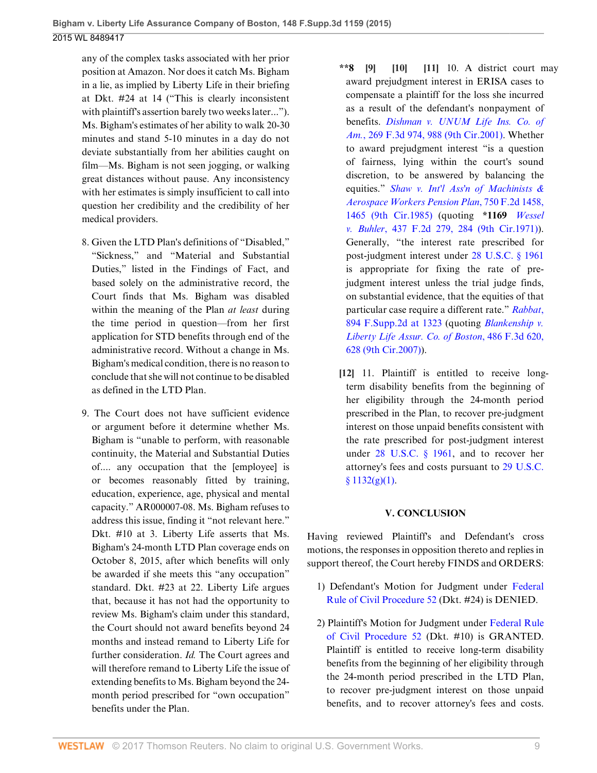any of the complex tasks associated with her prior position at Amazon. Nor does it catch Ms. Bigham in a lie, as implied by Liberty Life in their briefing at Dkt. #24 at 14 ("This is clearly inconsistent with plaintiff's assertion barely two weeks later..."). Ms. Bigham's estimates of her ability to walk 20-30 minutes and stand 5-10 minutes in a day do not deviate substantially from her abilities caught on film—Ms. Bigham is not seen jogging, or walking great distances without pause. Any inconsistency with her estimates is simply insufficient to call into question her credibility and the credibility of her medical providers.

- 8. Given the LTD Plan's definitions of "Disabled," "Sickness," and "Material and Substantial Duties," listed in the Findings of Fact, and based solely on the administrative record, the Court finds that Ms. Bigham was disabled within the meaning of the Plan *at least* during the time period in question—from her first application for STD benefits through end of the administrative record. Without a change in Ms. Bigham's medical condition, there is no reason to conclude that she will not continue to be disabled as defined in the LTD Plan.
- 9. The Court does not have sufficient evidence or argument before it determine whether Ms. Bigham is "unable to perform, with reasonable continuity, the Material and Substantial Duties of.... any occupation that the [employee] is or becomes reasonably fitted by training, education, experience, age, physical and mental capacity." AR000007-08. Ms. Bigham refuses to address this issue, finding it "not relevant here." Dkt. #10 at 3. Liberty Life asserts that Ms. Bigham's 24-month LTD Plan coverage ends on October 8, 2015, after which benefits will only be awarded if she meets this "any occupation" standard. Dkt. #23 at 22. Liberty Life argues that, because it has not had the opportunity to review Ms. Bigham's claim under this standard, the Court should not award benefits beyond 24 months and instead remand to Liberty Life for further consideration. *Id.* The Court agrees and will therefore remand to Liberty Life the issue of extending benefits to Ms. Bigham beyond the 24 month period prescribed for "own occupation" benefits under the Plan.
- <span id="page-8-2"></span><span id="page-8-1"></span><span id="page-8-0"></span>**\*\*8 [\[9](#page-1-3)] [\[10](#page-1-4)] [\[11](#page-1-5)]** 10. A district court may award prejudgment interest in ERISA cases to compensate a plaintiff for the loss she incurred as a result of the defendant's nonpayment of benefits. *[Dishman v. UNUM Life Ins. Co. of](http://www.westlaw.com/Link/Document/FullText?findType=Y&serNum=2001879912&pubNum=0000506&originatingDoc=I65954630a08e11e5b10893af99153f48&refType=RP&fi=co_pp_sp_506_988&originationContext=document&vr=3.0&rs=cblt1.0&transitionType=DocumentItem&contextData=(sc.UserEnteredCitation)#co_pp_sp_506_988) Am.*[, 269 F.3d 974, 988 \(9th Cir.2001\).](http://www.westlaw.com/Link/Document/FullText?findType=Y&serNum=2001879912&pubNum=0000506&originatingDoc=I65954630a08e11e5b10893af99153f48&refType=RP&fi=co_pp_sp_506_988&originationContext=document&vr=3.0&rs=cblt1.0&transitionType=DocumentItem&contextData=(sc.UserEnteredCitation)#co_pp_sp_506_988) Whether to award prejudgment interest "is a question of fairness, lying within the court's sound discretion, to be answered by balancing the equities." *[Shaw v. Int'l Ass'n of Machinists &](http://www.westlaw.com/Link/Document/FullText?findType=Y&serNum=1985102034&pubNum=0000350&originatingDoc=I65954630a08e11e5b10893af99153f48&refType=RP&fi=co_pp_sp_350_1465&originationContext=document&vr=3.0&rs=cblt1.0&transitionType=DocumentItem&contextData=(sc.UserEnteredCitation)#co_pp_sp_350_1465) [Aerospace Workers Pension Plan](http://www.westlaw.com/Link/Document/FullText?findType=Y&serNum=1985102034&pubNum=0000350&originatingDoc=I65954630a08e11e5b10893af99153f48&refType=RP&fi=co_pp_sp_350_1465&originationContext=document&vr=3.0&rs=cblt1.0&transitionType=DocumentItem&contextData=(sc.UserEnteredCitation)#co_pp_sp_350_1465)*, 750 F.2d 1458, [1465 \(9th Cir.1985\)](http://www.westlaw.com/Link/Document/FullText?findType=Y&serNum=1985102034&pubNum=0000350&originatingDoc=I65954630a08e11e5b10893af99153f48&refType=RP&fi=co_pp_sp_350_1465&originationContext=document&vr=3.0&rs=cblt1.0&transitionType=DocumentItem&contextData=(sc.UserEnteredCitation)#co_pp_sp_350_1465) (quoting **\*1169** *[Wessel](http://www.westlaw.com/Link/Document/FullText?findType=Y&serNum=1971108520&pubNum=0000350&originatingDoc=I65954630a08e11e5b10893af99153f48&refType=RP&fi=co_pp_sp_350_284&originationContext=document&vr=3.0&rs=cblt1.0&transitionType=DocumentItem&contextData=(sc.UserEnteredCitation)#co_pp_sp_350_284) v. Buhler*[, 437 F.2d 279, 284 \(9th Cir.1971\)\)](http://www.westlaw.com/Link/Document/FullText?findType=Y&serNum=1971108520&pubNum=0000350&originatingDoc=I65954630a08e11e5b10893af99153f48&refType=RP&fi=co_pp_sp_350_284&originationContext=document&vr=3.0&rs=cblt1.0&transitionType=DocumentItem&contextData=(sc.UserEnteredCitation)#co_pp_sp_350_284). Generally, "the interest rate prescribed for post-judgment interest under [28 U.S.C. § 1961](http://www.westlaw.com/Link/Document/FullText?findType=L&pubNum=1000546&cite=28USCAS1961&originatingDoc=I65954630a08e11e5b10893af99153f48&refType=LQ&originationContext=document&vr=3.0&rs=cblt1.0&transitionType=DocumentItem&contextData=(sc.UserEnteredCitation)) is appropriate for fixing the rate of prejudgment interest unless the trial judge finds, on substantial evidence, that the equities of that particular case require a different rate." *[Rabbat](http://www.westlaw.com/Link/Document/FullText?findType=Y&serNum=2028757653&pubNum=0004637&originatingDoc=I65954630a08e11e5b10893af99153f48&refType=RP&fi=co_pp_sp_4637_1323&originationContext=document&vr=3.0&rs=cblt1.0&transitionType=DocumentItem&contextData=(sc.UserEnteredCitation)#co_pp_sp_4637_1323)*, [894 F.Supp.2d at 1323](http://www.westlaw.com/Link/Document/FullText?findType=Y&serNum=2028757653&pubNum=0004637&originatingDoc=I65954630a08e11e5b10893af99153f48&refType=RP&fi=co_pp_sp_4637_1323&originationContext=document&vr=3.0&rs=cblt1.0&transitionType=DocumentItem&contextData=(sc.UserEnteredCitation)#co_pp_sp_4637_1323) (quoting *[Blankenship v.](http://www.westlaw.com/Link/Document/FullText?findType=Y&serNum=2012282883&pubNum=0000506&originatingDoc=I65954630a08e11e5b10893af99153f48&refType=RP&fi=co_pp_sp_506_628&originationContext=document&vr=3.0&rs=cblt1.0&transitionType=DocumentItem&contextData=(sc.UserEnteredCitation)#co_pp_sp_506_628) [Liberty Life Assur. Co. of Boston](http://www.westlaw.com/Link/Document/FullText?findType=Y&serNum=2012282883&pubNum=0000506&originatingDoc=I65954630a08e11e5b10893af99153f48&refType=RP&fi=co_pp_sp_506_628&originationContext=document&vr=3.0&rs=cblt1.0&transitionType=DocumentItem&contextData=(sc.UserEnteredCitation)#co_pp_sp_506_628)*, 486 F.3d 620, [628 \(9th Cir.2007\)\)](http://www.westlaw.com/Link/Document/FullText?findType=Y&serNum=2012282883&pubNum=0000506&originatingDoc=I65954630a08e11e5b10893af99153f48&refType=RP&fi=co_pp_sp_506_628&originationContext=document&vr=3.0&rs=cblt1.0&transitionType=DocumentItem&contextData=(sc.UserEnteredCitation)#co_pp_sp_506_628).
- <span id="page-8-3"></span>**[\[12](#page-2-0)]** 11. Plaintiff is entitled to receive longterm disability benefits from the beginning of her eligibility through the 24-month period prescribed in the Plan, to recover pre-judgment interest on those unpaid benefits consistent with the rate prescribed for post-judgment interest under [28 U.S.C. § 1961,](http://www.westlaw.com/Link/Document/FullText?findType=L&pubNum=1000546&cite=28USCAS1961&originatingDoc=I65954630a08e11e5b10893af99153f48&refType=LQ&originationContext=document&vr=3.0&rs=cblt1.0&transitionType=DocumentItem&contextData=(sc.UserEnteredCitation)) and to recover her attorney's fees and costs pursuant to [29 U.S.C.](http://www.westlaw.com/Link/Document/FullText?findType=L&pubNum=1000546&cite=29USCAS1132&originatingDoc=I65954630a08e11e5b10893af99153f48&refType=SP&originationContext=document&vr=3.0&rs=cblt1.0&transitionType=DocumentItem&contextData=(sc.UserEnteredCitation)#co_pp_4d690000c9482)  $§ 1132(g)(1).$

# **V. CONCLUSION**

Having reviewed Plaintiff's and Defendant's cross motions, the responses in opposition thereto and replies in support thereof, the Court hereby FINDS and ORDERS:

- 1) Defendant's Motion for Judgment under [Federal](http://www.westlaw.com/Link/Document/FullText?findType=L&pubNum=1000600&cite=USFRCPR52&originatingDoc=I65954630a08e11e5b10893af99153f48&refType=LQ&originationContext=document&vr=3.0&rs=cblt1.0&transitionType=DocumentItem&contextData=(sc.UserEnteredCitation)) [Rule of Civil Procedure 52](http://www.westlaw.com/Link/Document/FullText?findType=L&pubNum=1000600&cite=USFRCPR52&originatingDoc=I65954630a08e11e5b10893af99153f48&refType=LQ&originationContext=document&vr=3.0&rs=cblt1.0&transitionType=DocumentItem&contextData=(sc.UserEnteredCitation)) (Dkt. #24) is DENIED.
- 2) Plaintiff's Motion for Judgment under [Federal Rule](http://www.westlaw.com/Link/Document/FullText?findType=L&pubNum=1000600&cite=USFRCPR52&originatingDoc=I65954630a08e11e5b10893af99153f48&refType=LQ&originationContext=document&vr=3.0&rs=cblt1.0&transitionType=DocumentItem&contextData=(sc.UserEnteredCitation)) [of Civil Procedure 52](http://www.westlaw.com/Link/Document/FullText?findType=L&pubNum=1000600&cite=USFRCPR52&originatingDoc=I65954630a08e11e5b10893af99153f48&refType=LQ&originationContext=document&vr=3.0&rs=cblt1.0&transitionType=DocumentItem&contextData=(sc.UserEnteredCitation)) (Dkt. #10) is GRANTED. Plaintiff is entitled to receive long-term disability benefits from the beginning of her eligibility through the 24-month period prescribed in the LTD Plan, to recover pre-judgment interest on those unpaid benefits, and to recover attorney's fees and costs.